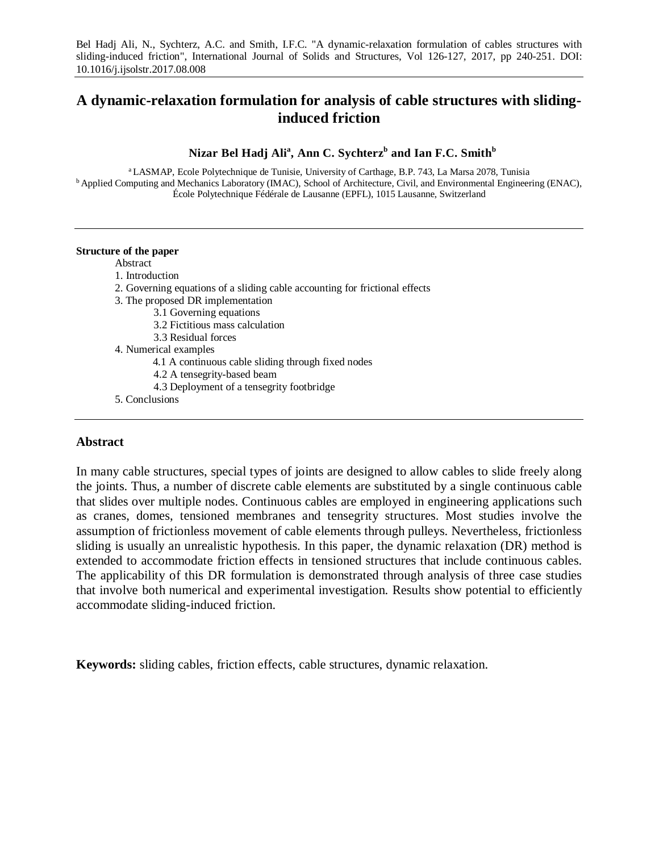Bel Hadj Ali, N., Sychterz, A.C. and Smith, I.F.C. "A dynamic-relaxation formulation of cables structures with sliding-induced friction", International Journal of Solids and Structures, Vol 126-127, 2017, pp 240-251. DOI: 10.1016/j.ijsolstr.2017.08.008

# **A dynamic-relaxation formulation for analysis of cable structures with slidinginduced friction**

**Nizar Bel Hadj Ali<sup>a</sup> , Ann C. Sychterzb and Ian F.C. Smith<sup>b</sup>**

<sup>a</sup> LASMAP, Ecole Polytechnique de Tunisie, University of Carthage, B.P. 743, La Marsa 2078, Tunisia <sup>b</sup> Applied Computing and Mechanics Laboratory (IMAC), School of Architecture, Civil, and Environmental Engineering (ENAC), École Polytechnique Fédérale de Lausanne (EPFL), 1015 Lausanne, Switzerland

#### **Structure of the paper**

Abstract

- 1. Introduction
- 2. Governing equations of a sliding cable accounting for frictional effects
- 3. The proposed DR implementation
	- 3.1 Governing equations
	- 3.2 Fictitious mass calculation
	- 3.3 Residual forces
- 4. Numerical examples
	- 4.1 A continuous cable sliding through fixed nodes
	- 4.2 A tensegrity-based beam
	- 4.3 Deployment of a tensegrity footbridge
- 5. Conclusions

# **Abstract**

In many cable structures, special types of joints are designed to allow cables to slide freely along the joints. Thus, a number of discrete cable elements are substituted by a single continuous cable that slides over multiple nodes. Continuous cables are employed in engineering applications such as cranes, domes, tensioned membranes and tensegrity structures. Most studies involve the assumption of frictionless movement of cable elements through pulleys. Nevertheless, frictionless sliding is usually an unrealistic hypothesis. In this paper, the dynamic relaxation (DR) method is extended to accommodate friction effects in tensioned structures that include continuous cables. The applicability of this DR formulation is demonstrated through analysis of three case studies that involve both numerical and experimental investigation. Results show potential to efficiently accommodate sliding-induced friction.

**Keywords:** sliding cables, friction effects, cable structures, dynamic relaxation.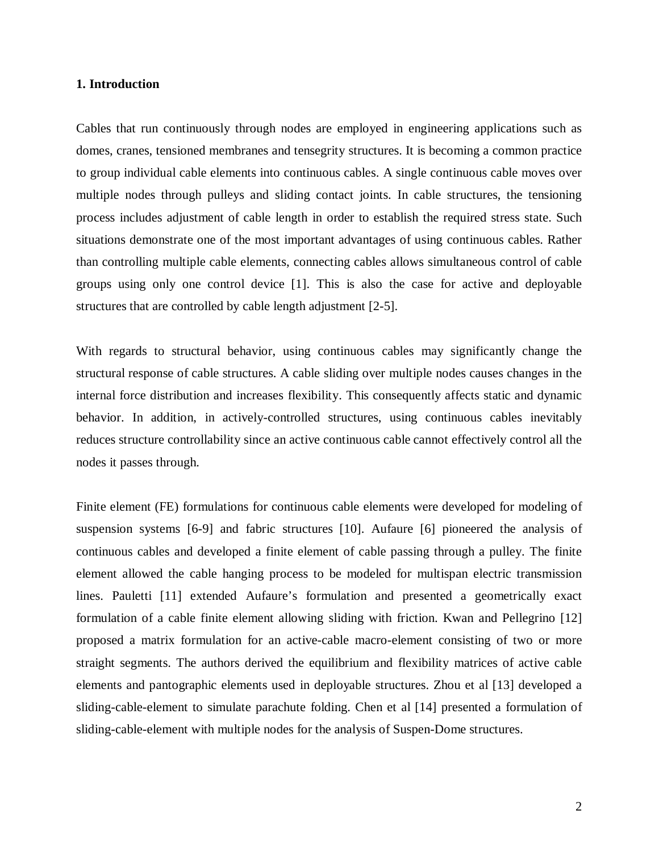### **1. Introduction**

Cables that run continuously through nodes are employed in engineering applications such as domes, cranes, tensioned membranes and tensegrity structures. It is becoming a common practice to group individual cable elements into continuous cables. A single continuous cable moves over multiple nodes through pulleys and sliding contact joints. In cable structures, the tensioning process includes adjustment of cable length in order to establish the required stress state. Such situations demonstrate one of the most important advantages of using continuous cables. Rather than controlling multiple cable elements, connecting cables allows simultaneous control of cable groups using only one control device [\[1\]](#page-30-0). This is also the case for active and deployable structures that are controlled by cable length adjustment [\[2-5\]](#page-30-1).

With regards to structural behavior, using continuous cables may significantly change the structural response of cable structures. A cable sliding over multiple nodes causes changes in the internal force distribution and increases flexibility. This consequently affects static and dynamic behavior. In addition, in actively-controlled structures, using continuous cables inevitably reduces structure controllability since an active continuous cable cannot effectively control all the nodes it passes through.

Finite element (FE) formulations for continuous cable elements were developed for modeling of suspension systems [\[6-9\]](#page-30-2) and fabric structures [\[10\]](#page-30-3). Aufaure [\[6\]](#page-30-2) pioneered the analysis of continuous cables and developed a finite element of cable passing through a pulley. The finite element allowed the cable hanging process to be modeled for multispan electric transmission lines. Pauletti [\[11\]](#page-30-4) extended Aufaure's formulation and presented a geometrically exact formulation of a cable finite element allowing sliding with friction. Kwan and Pellegrino [\[12\]](#page-30-5) proposed a matrix formulation for an active-cable macro-element consisting of two or more straight segments. The authors derived the equilibrium and flexibility matrices of active cable elements and pantographic elements used in deployable structures. Zhou et al [\[13\]](#page-30-6) developed a sliding-cable-element to simulate parachute folding. Chen et al [\[14\]](#page-30-7) presented a formulation of sliding-cable-element with multiple nodes for the analysis of Suspen-Dome structures.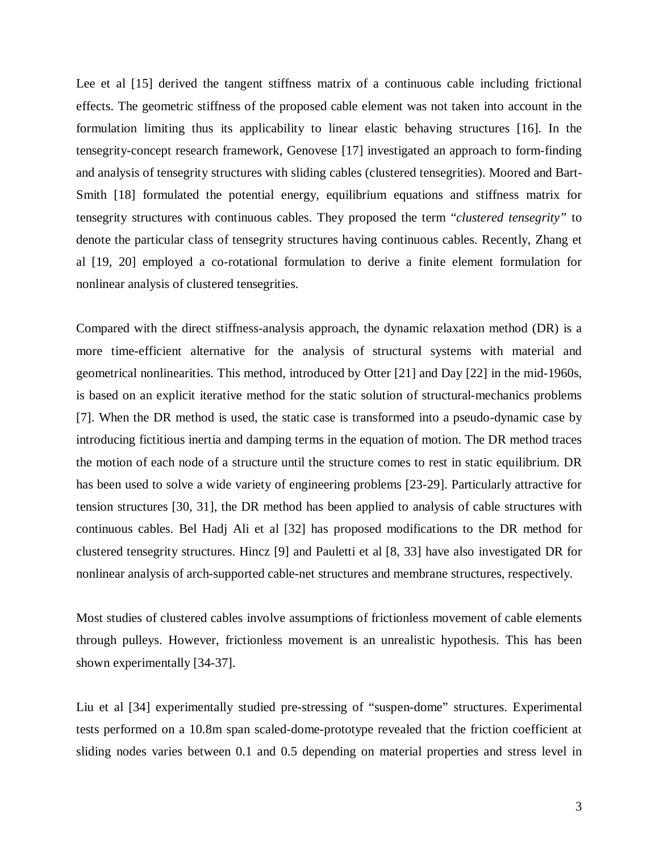Lee et al [\[15\]](#page-30-8) derived the tangent stiffness matrix of a continuous cable including frictional effects. The geometric stiffness of the proposed cable element was not taken into account in the formulation limiting thus its applicability to linear elastic behaving structures [\[16\]](#page-30-9). In the tensegrity-concept research framework, Genovese [\[17\]](#page-30-10) investigated an approach to form-finding and analysis of tensegrity structures with sliding cables (clustered tensegrities). Moored and Bart-Smith [\[18\]](#page-30-11) formulated the potential energy, equilibrium equations and stiffness matrix for tensegrity structures with continuous cables. They proposed the term "*clustered tensegrity"* to denote the particular class of tensegrity structures having continuous cables. Recently, Zhang et al [\[19,](#page-31-0) [20\]](#page-31-1) employed a co-rotational formulation to derive a finite element formulation for nonlinear analysis of clustered tensegrities.

Compared with the direct stiffness-analysis approach, the dynamic relaxation method (DR) is a more time-efficient alternative for the analysis of structural systems with material and geometrical nonlinearities. This method, introduced by Otter [\[21\]](#page-31-2) and Day [\[22\]](#page-31-3) in the mid-1960s, is based on an explicit iterative method for the static solution of structural-mechanics problems [\[7\]](#page-30-12). When the DR method is used, the static case is transformed into a pseudo-dynamic case by introducing fictitious inertia and damping terms in the equation of motion. The DR method traces the motion of each node of a structure until the structure comes to rest in static equilibrium. DR has been used to solve a wide variety of engineering problems [\[23-29\]](#page-31-4). Particularly attractive for tension structures [\[30,](#page-31-5) [31\]](#page-31-6), the DR method has been applied to analysis of cable structures with continuous cables. Bel Hadj Ali et al [\[32\]](#page-31-7) has proposed modifications to the DR method for clustered tensegrity structures. Hincz [\[9\]](#page-30-13) and Pauletti et al [\[8,](#page-30-14) [33\]](#page-31-8) have also investigated DR for nonlinear analysis of arch-supported cable-net structures and membrane structures, respectively.

Most studies of clustered cables involve assumptions of frictionless movement of cable elements through pulleys. However, frictionless movement is an unrealistic hypothesis. This has been shown experimentally [\[34-37\]](#page-31-9).

Liu et al [\[34\]](#page-31-9) experimentally studied pre-stressing of "suspen-dome" structures. Experimental tests performed on a 10.8m span scaled-dome-prototype revealed that the friction coefficient at sliding nodes varies between 0.1 and 0.5 depending on material properties and stress level in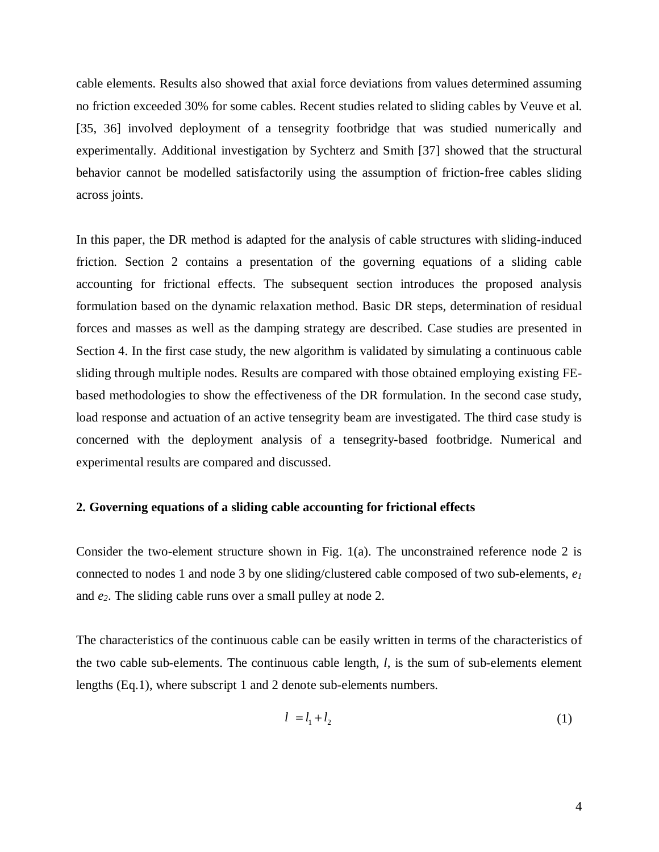cable elements. Results also showed that axial force deviations from values determined assuming no friction exceeded 30% for some cables. Recent studies related to sliding cables by Veuve et al. [\[35,](#page-31-10) [36\]](#page-31-11) involved deployment of a tensegrity footbridge that was studied numerically and experimentally. Additional investigation by Sychterz and Smith [\[37\]](#page-31-12) showed that the structural behavior cannot be modelled satisfactorily using the assumption of friction-free cables sliding across joints.

In this paper, the DR method is adapted for the analysis of cable structures with sliding-induced friction. Section 2 contains a presentation of the governing equations of a sliding cable accounting for frictional effects. The subsequent section introduces the proposed analysis formulation based on the dynamic relaxation method. Basic DR steps, determination of residual forces and masses as well as the damping strategy are described. Case studies are presented in Section 4. In the first case study, the new algorithm is validated by simulating a continuous cable sliding through multiple nodes. Results are compared with those obtained employing existing FEbased methodologies to show the effectiveness of the DR formulation. In the second case study, load response and actuation of an active tensegrity beam are investigated. The third case study is concerned with the deployment analysis of a tensegrity-based footbridge. Numerical and experimental results are compared and discussed.

# **2. Governing equations of a sliding cable accounting for frictional effects**

Consider the two-element structure shown in Fig.  $1(a)$ . The unconstrained reference node 2 is connected to nodes 1 and node 3 by one sliding/clustered cable composed of two sub-elements, *e1* and *e2*. The sliding cable runs over a small pulley at node 2.

The characteristics of the continuous cable can be easily written in terms of the characteristics of the two cable sub-elements. The continuous cable length, *l*, is the sum of sub-elements element lengths (Eq.1), where subscript 1 and 2 denote sub-elements numbers.

$$
l = l_1 + l_2 \tag{1}
$$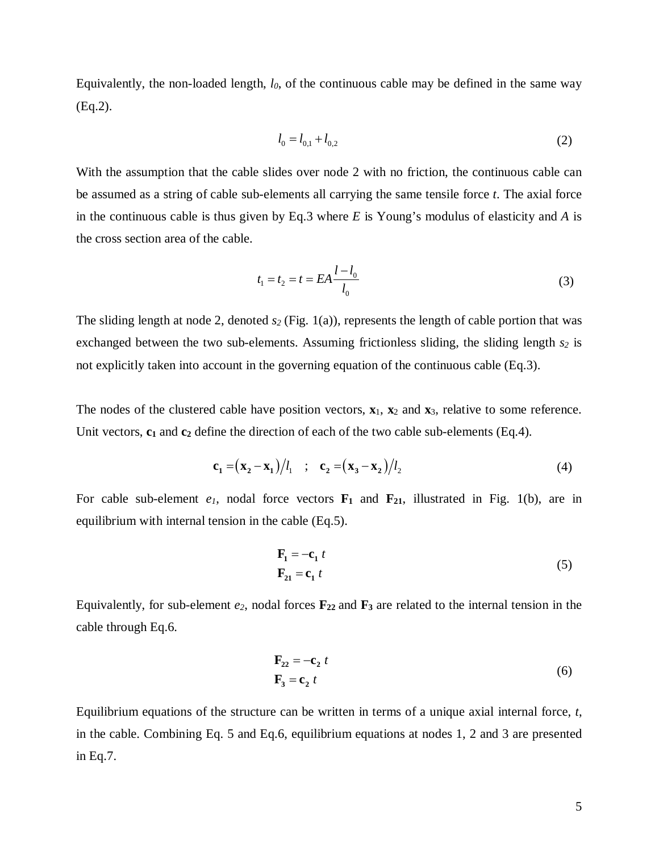Equivalently, the non-loaded length, *l0*, of the continuous cable may be defined in the same way (Eq.2).

$$
l_0 = l_{0,1} + l_{0,2} \tag{2}
$$

With the assumption that the cable slides over node 2 with no friction, the continuous cable can be assumed as a string of cable sub-elements all carrying the same tensile force *t*. The axial force in the continuous cable is thus given by Eq.3 where *E* is Young's modulus of elasticity and *A* is the cross section area of the cable.

$$
t_1 = t_2 = t = EA \frac{l - l_0}{l_0}
$$
\n(3)

The sliding length at node 2, denoted  $s_2$  (Fig. 1(a)), represents the length of cable portion that was exchanged between the two sub-elements. Assuming frictionless sliding, the sliding length  $s_2$  is not explicitly taken into account in the governing equation of the continuous cable (Eq.3).

The nodes of the clustered cable have position vectors,  $\mathbf{x}_1$ ,  $\mathbf{x}_2$  and  $\mathbf{x}_3$ , relative to some reference. Unit vectors,  $c_1$  and  $c_2$  define the direction of each of the two cable sub-elements (Eq.4).

$$
\mathbf{c}_1 = (\mathbf{x}_2 - \mathbf{x}_1)/l_1 \quad ; \quad \mathbf{c}_2 = (\mathbf{x}_3 - \mathbf{x}_2)/l_2 \tag{4}
$$

For cable sub-element  $e_1$ , nodal force vectors  $\mathbf{F}_1$  and  $\mathbf{F}_{21}$ , illustrated in Fig. 1(b), are in equilibrium with internal tension in the cable (Eq.5).

$$
\mathbf{F}_1 = -\mathbf{c}_1 t
$$
  
\n
$$
\mathbf{F}_{21} = \mathbf{c}_1 t
$$
 (5)

Equivalently, for sub-element  $e_2$ , nodal forces  $\mathbf{F}_{22}$  and  $\mathbf{F}_3$  are related to the internal tension in the cable through Eq.6.

$$
\mathbf{F}_{22} = -\mathbf{c}_2 t
$$
  

$$
\mathbf{F}_3 = \mathbf{c}_2 t
$$
 (6)

Equilibrium equations of the structure can be written in terms of a unique axial internal force, *t*, in the cable. Combining Eq. 5 and Eq.6, equilibrium equations at nodes 1, 2 and 3 are presented in Eq.7.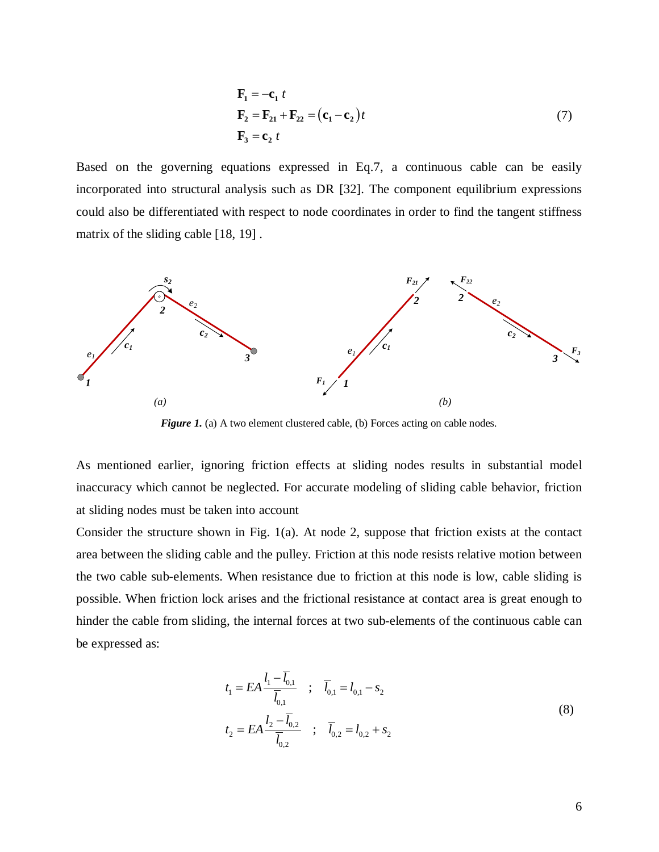$$
\mathbf{F}_1 = -\mathbf{c}_1 t
$$
  
\n
$$
\mathbf{F}_2 = \mathbf{F}_{21} + \mathbf{F}_{22} = (\mathbf{c}_1 - \mathbf{c}_2)t
$$
  
\n
$$
\mathbf{F}_3 = \mathbf{c}_2 t
$$
 (7)

Based on the governing equations expressed in Eq.7, a continuous cable can be easily incorporated into structural analysis such as DR [\[32\]](#page-31-7). The component equilibrium expressions could also be differentiated with respect to node coordinates in order to find the tangent stiffness matrix of the sliding cable [\[18,](#page-30-11) [19\]](#page-31-0) .



*Figure 1.* (a) A two element clustered cable, (b) Forces acting on cable nodes.

As mentioned earlier, ignoring friction effects at sliding nodes results in substantial model inaccuracy which cannot be neglected. For accurate modeling of sliding cable behavior, friction at sliding nodes must be taken into account

Consider the structure shown in Fig. 1(a). At node 2, suppose that friction exists at the contact area between the sliding cable and the pulley. Friction at this node resists relative motion between the two cable sub-elements. When resistance due to friction at this node is low, cable sliding is possible. When friction lock arises and the frictional resistance at contact area is great enough to hinder the cable from sliding, the internal forces at two sub-elements of the continuous cable can be expressed as:

$$
t_1 = EA \frac{l_1 - \overline{l}_{0,1}}{\overline{l}_{0,1}} \quad ; \quad \overline{l}_{0,1} = l_{0,1} - s_2
$$
  

$$
t_2 = EA \frac{l_2 - \overline{l}_{0,2}}{\overline{l}_{0,2}} \quad ; \quad \overline{l}_{0,2} = l_{0,2} + s_2
$$
 (8)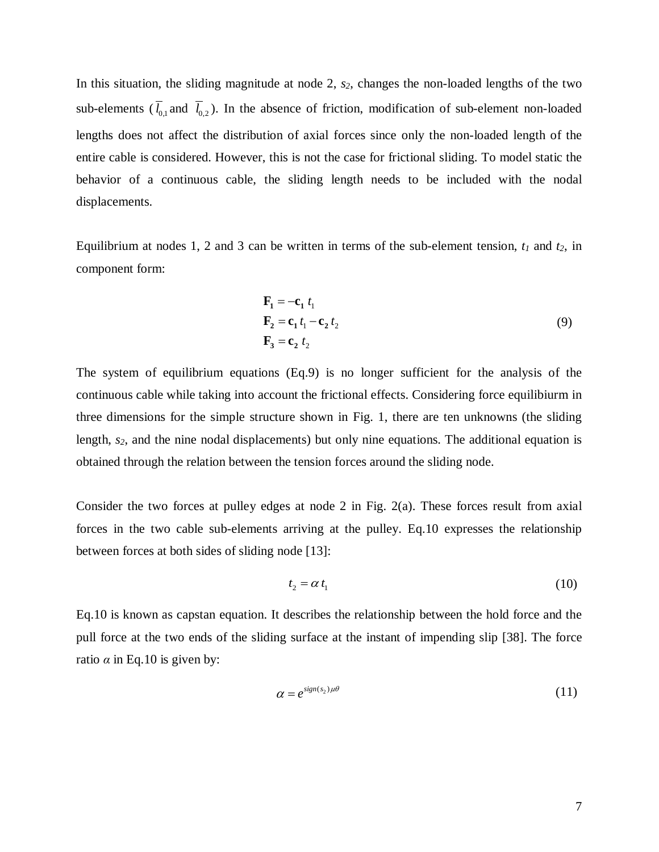In this situation, the sliding magnitude at node 2, *s2*, changes the non-loaded lengths of the two sub-elements  $(\bar{l}_{0,1}$  and  $\bar{l}_{0,2}$ ). In the absence of friction, modification of sub-element non-loaded lengths does not affect the distribution of axial forces since only the non-loaded length of the entire cable is considered. However, this is not the case for frictional sliding. To model static the behavior of a continuous cable, the sliding length needs to be included with the nodal displacements.

Equilibrium at nodes 1, 2 and 3 can be written in terms of the sub-element tension,  $t_1$  and  $t_2$ , in component form:

$$
\mathbf{F}_1 = -\mathbf{c}_1 t_1
$$
  
\n
$$
\mathbf{F}_2 = \mathbf{c}_1 t_1 - \mathbf{c}_2 t_2
$$
  
\n
$$
\mathbf{F}_3 = \mathbf{c}_2 t_2
$$
 (9)

The system of equilibrium equations (Eq.9) is no longer sufficient for the analysis of the continuous cable while taking into account the frictional effects. Considering force equilibiurm in three dimensions for the simple structure shown in Fig. 1, there are ten unknowns (the sliding length,  $s_2$ , and the nine nodal displacements) but only nine equations. The additional equation is obtained through the relation between the tension forces around the sliding node.

Consider the two forces at pulley edges at node 2 in Fig.  $2(a)$ . These forces result from axial forces in the two cable sub-elements arriving at the pulley. Eq.10 expresses the relationship between forces at both sides of sliding node [13]:

$$
t_2 = \alpha t_1 \tag{10}
$$

Eq.10 is known as capstan equation. It describes the relationship between the hold force and the pull force at the two ends of the sliding surface at the instant of impending slip [\[38\]](#page-31-13). The force ratio  $\alpha$  in Eq.10 is given by:

$$
\alpha = e^{\operatorname{sign}(s_2)\mu\theta} \tag{11}
$$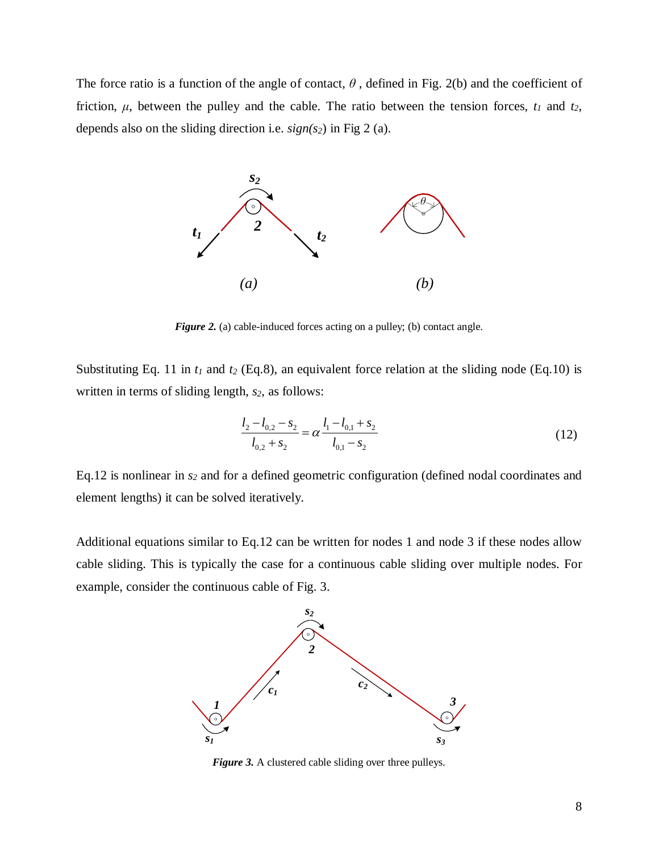The force ratio is a function of the angle of contact,  $\theta$ , defined in Fig. 2(b) and the coefficient of friction,  $\mu$ , between the pulley and the cable. The ratio between the tension forces,  $t_1$  and  $t_2$ , depends also on the sliding direction i.e. *sign(s2*) in Fig 2 (a).



*Figure 2.* (a) cable-induced forces acting on a pulley; (b) contact angle.

Substituting Eq. 11 in  $t_1$  and  $t_2$  (Eq.8), an equivalent force relation at the sliding node (Eq.10) is written in terms of sliding length,  $s_2$ , as follows:

$$
\frac{l_2 - l_{0,2} - s_2}{l_{0,2} + s_2} = \alpha \frac{l_1 - l_{0,1} + s_2}{l_{0,1} - s_2}
$$
\n(12)

Eq.12 is nonlinear in  $s_2$  and for a defined geometric configuration (defined nodal coordinates and element lengths) it can be solved iteratively.

Additional equations similar to Eq.12 can be written for nodes 1 and node 3 if these nodes allow cable sliding. This is typically the case for a continuous cable sliding over multiple nodes. For example, consider the continuous cable of Fig. 3.



*Figure 3.* A clustered cable sliding over three pulleys.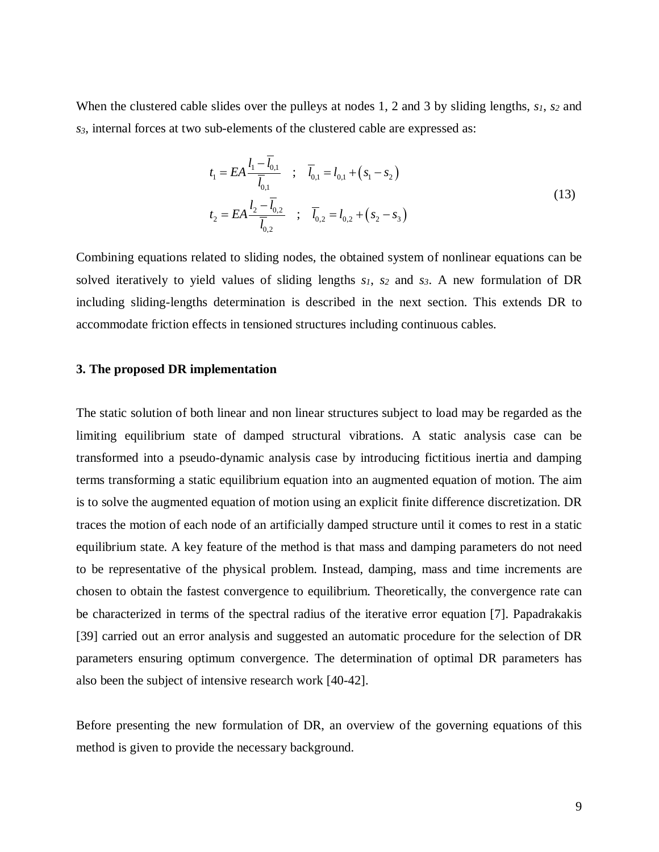When the clustered cable slides over the pulleys at nodes 1, 2 and 3 by sliding lengths,  $s_1$ ,  $s_2$  and *s3*, internal forces at two sub-elements of the clustered cable are expressed as:

$$
t_1 = EA \frac{l_1 - \overline{l}_{0,1}}{\overline{l}_{0,1}} \quad ; \quad \overline{l}_{0,1} = l_{0,1} + (s_1 - s_2)
$$
  

$$
t_2 = EA \frac{l_2 - \overline{l}_{0,2}}{\overline{l}_{0,2}} \quad ; \quad \overline{l}_{0,2} = l_{0,2} + (s_2 - s_3)
$$
 (13)

Combining equations related to sliding nodes, the obtained system of nonlinear equations can be solved iteratively to yield values of sliding lengths *s1*, *s2* and *s3*. A new formulation of DR including sliding-lengths determination is described in the next section. This extends DR to accommodate friction effects in tensioned structures including continuous cables.

# **3. The proposed DR implementation**

The static solution of both linear and non linear structures subject to load may be regarded as the limiting equilibrium state of damped structural vibrations. A static analysis case can be transformed into a pseudo-dynamic analysis case by introducing fictitious inertia and damping terms transforming a static equilibrium equation into an augmented equation of motion. The aim is to solve the augmented equation of motion using an explicit finite difference discretization. DR traces the motion of each node of an artificially damped structure until it comes to rest in a static equilibrium state. A key feature of the method is that mass and damping parameters do not need to be representative of the physical problem. Instead, damping, mass and time increments are chosen to obtain the fastest convergence to equilibrium. Theoretically, the convergence rate can be characterized in terms of the spectral radius of the iterative error equation [\[7\]](#page-30-12). Papadrakakis [\[39\]](#page-32-0) carried out an error analysis and suggested an automatic procedure for the selection of DR parameters ensuring optimum convergence. The determination of optimal DR parameters has also been the subject of intensive research work [\[40-42\]](#page-32-1).

Before presenting the new formulation of DR, an overview of the governing equations of this method is given to provide the necessary background.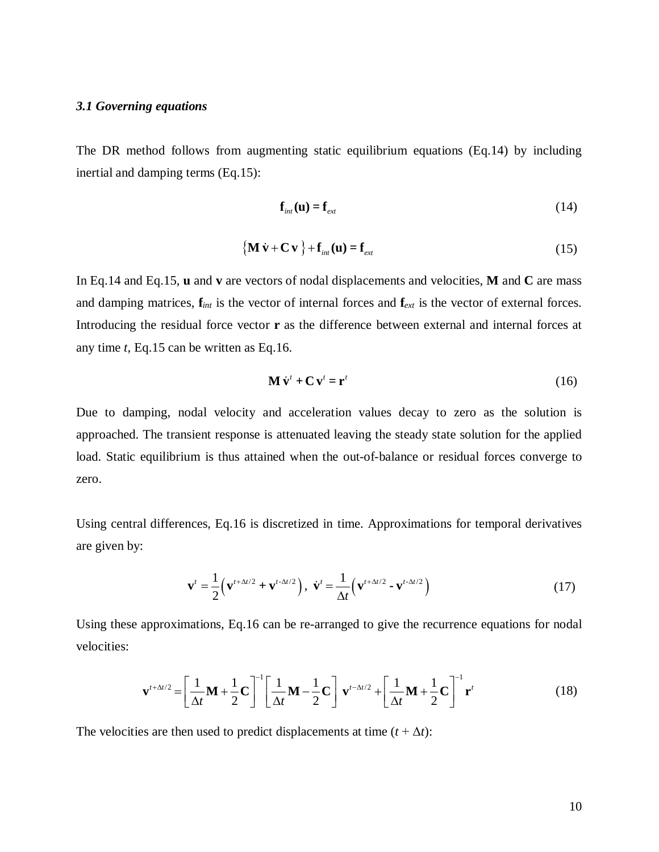### *3.1 Governing equations*

The DR method follows from augmenting static equilibrium equations (Eq.14) by including inertial and damping terms (Eq.15):

$$
\mathbf{f}_{int}(\mathbf{u}) = \mathbf{f}_{ext} \tag{14}
$$

$$
\left\{ \mathbf{M}\dot{\mathbf{v}} + \mathbf{C}\mathbf{v} \right\} + \mathbf{f}_{int}(\mathbf{u}) = \mathbf{f}_{ext}
$$
 (15)

In Eq.14 and Eq.15, **u** and **v** are vectors of nodal displacements and velocities, **M** and **C** are mass and damping matrices, **f***int* is the vector of internal forces and **f***ext* is the vector of external forces. Introducing the residual force vector **r** as the difference between external and internal forces at any time *t*, Eq.15 can be written as Eq.16.

$$
\mathbf{M}\,\dot{\mathbf{v}}^t + \mathbf{C}\,\mathbf{v}^t = \mathbf{r}^t \tag{16}
$$

Due to damping, nodal velocity and acceleration values decay to zero as the solution is approached. The transient response is attenuated leaving the steady state solution for the applied load. Static equilibrium is thus attained when the out-of-balance or residual forces converge to zero.

Using central differences, Eq.16 is discretized in time. Approximations for temporal derivatives are given by:

$$
\mathbf{v}^{t} = \frac{1}{2} \left( \mathbf{v}^{t + \Delta t/2} + \mathbf{v}^{t - \Delta t/2} \right), \quad \dot{\mathbf{v}}^{t} = \frac{1}{\Delta t} \left( \mathbf{v}^{t + \Delta t/2} - \mathbf{v}^{t - \Delta t/2} \right)
$$
(17)

Using these approximations, Eq.16 can be re-arranged to give the recurrence equations for nodal velocities:

$$
\mathbf{v}^{t+\Delta t/2} = \left[\frac{1}{\Delta t}\mathbf{M} + \frac{1}{2}\mathbf{C}\right]^{-1} \left[\frac{1}{\Delta t}\mathbf{M} - \frac{1}{2}\mathbf{C}\right] \mathbf{v}^{t-\Delta t/2} + \left[\frac{1}{\Delta t}\mathbf{M} + \frac{1}{2}\mathbf{C}\right]^{-1} \mathbf{r}^t
$$
(18)

The velocities are then used to predict displacements at time  $(t + \Delta t)$ :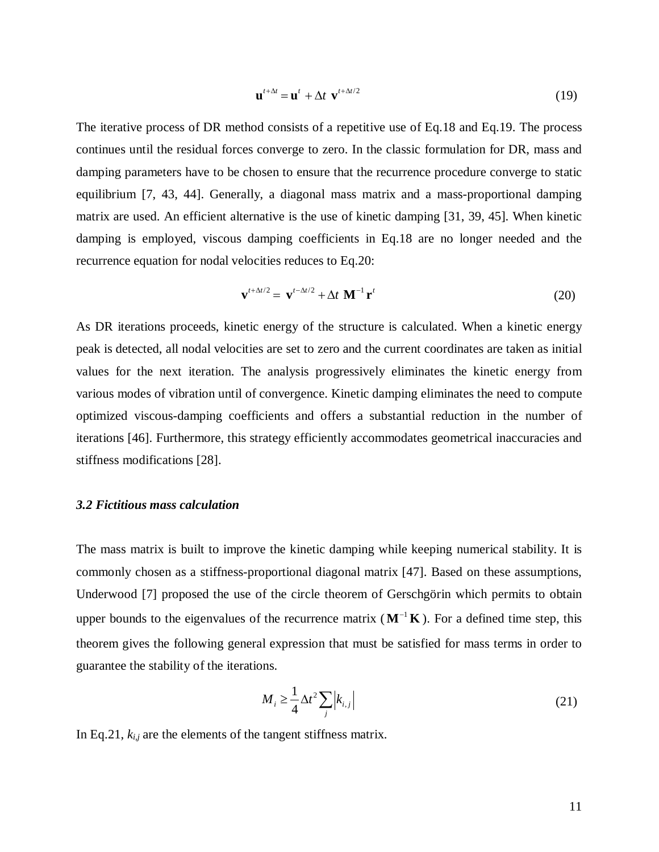$$
\mathbf{u}^{t+\Delta t} = \mathbf{u}^t + \Delta t \ \mathbf{v}^{t+\Delta t/2} \tag{19}
$$

The iterative process of DR method consists of a repetitive use of Eq.18 and Eq.19. The process continues until the residual forces converge to zero. In the classic formulation for DR, mass and damping parameters have to be chosen to ensure that the recurrence procedure converge to static equilibrium [\[7,](#page-30-12) [43,](#page-32-2) [44\]](#page-32-3). Generally, a diagonal mass matrix and a mass-proportional damping matrix are used. An efficient alternative is the use of kinetic damping [\[31,](#page-31-6) [39,](#page-32-0) [45\]](#page-32-4). When kinetic damping is employed, viscous damping coefficients in Eq.18 are no longer needed and the recurrence equation for nodal velocities reduces to Eq.20:

$$
\mathbf{v}^{t+\Delta t/2} = \mathbf{v}^{t-\Delta t/2} + \Delta t \mathbf{M}^{-1} \mathbf{r}^t
$$
 (20)

As DR iterations proceeds, kinetic energy of the structure is calculated. When a kinetic energy peak is detected, all nodal velocities are set to zero and the current coordinates are taken as initial values for the next iteration. The analysis progressively eliminates the kinetic energy from various modes of vibration until of convergence. Kinetic damping eliminates the need to compute optimized viscous-damping coefficients and offers a substantial reduction in the number of iterations [\[46\]](#page-32-5). Furthermore, this strategy efficiently accommodates geometrical inaccuracies and stiffness modifications [\[28\]](#page-31-14).

# *3.2 Fictitious mass calculation*

The mass matrix is built to improve the kinetic damping while keeping numerical stability. It is commonly chosen as a stiffness-proportional diagonal matrix [\[47\]](#page-32-6). Based on these assumptions, Underwood [\[7\]](#page-30-12) proposed the use of the circle theorem of Gerschgörin which permits to obtain upper bounds to the eigenvalues of the recurrence matrix  $(M^{-1}K)$ . For a defined time step, this theorem gives the following general expression that must be satisfied for mass terms in order to guarantee the stability of the iterations.

$$
M_i \ge \frac{1}{4} \Delta t^2 \sum_j \left| k_{i,j} \right| \tag{21}
$$

In Eq.21, *ki,j* are the elements of the tangent stiffness matrix.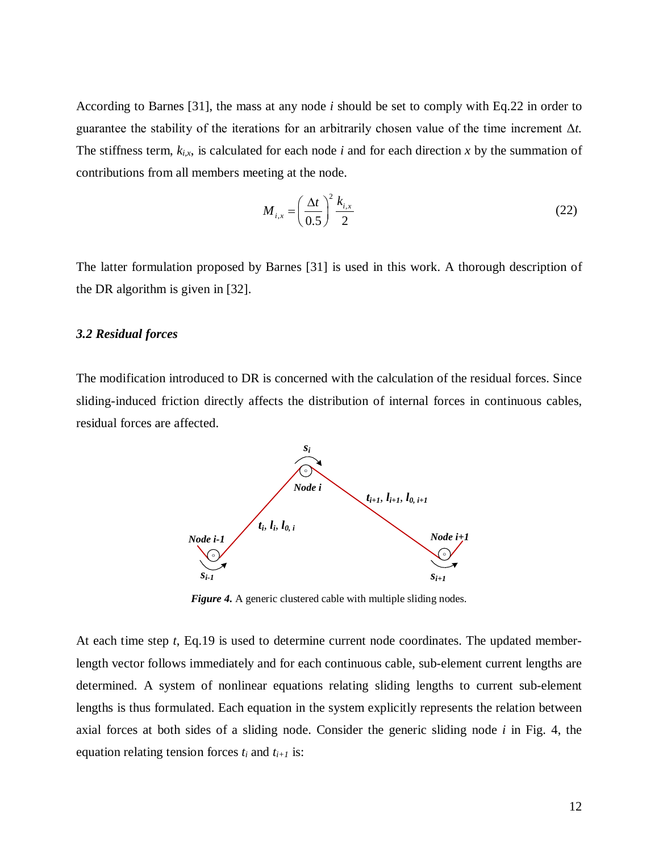According to Barnes [\[31\]](#page-31-6), the mass at any node *i* should be set to comply with Eq.22 in order to guarantee the stability of the iterations for an arbitrarily chosen value of the time increment Δ*t.* The stiffness term,  $k_{i,x}$ , is calculated for each node *i* and for each direction *x* by the summation of contributions from all members meeting at the node.

$$
M_{i,x} = \left(\frac{\Delta t}{0.5}\right)^2 \frac{k_{i,x}}{2} \tag{22}
$$

The latter formulation proposed by Barnes [\[31\]](#page-31-6) is used in this work. A thorough description of the DR algorithm is given in [\[32\]](#page-31-7).

# *3.2 Residual forces*

The modification introduced to DR is concerned with the calculation of the residual forces. Since sliding-induced friction directly affects the distribution of internal forces in continuous cables, residual forces are affected.



*Figure 4.* A generic clustered cable with multiple sliding nodes.

At each time step *t*, Eq.19 is used to determine current node coordinates. The updated memberlength vector follows immediately and for each continuous cable, sub-element current lengths are determined. A system of nonlinear equations relating sliding lengths to current sub-element lengths is thus formulated. Each equation in the system explicitly represents the relation between axial forces at both sides of a sliding node. Consider the generic sliding node *i* in Fig. 4, the equation relating tension forces  $t_i$  and  $t_{i+1}$  is: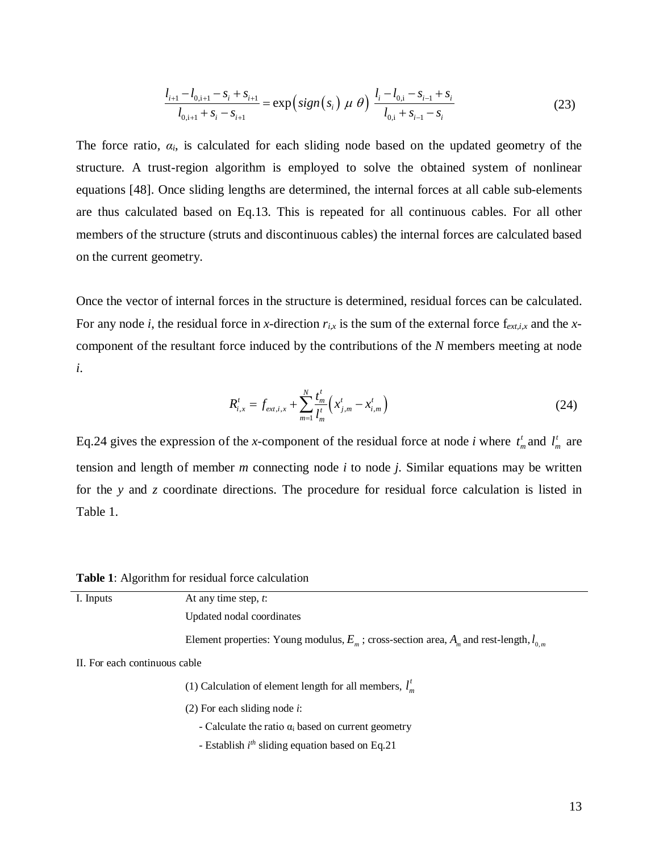$$
\frac{l_{i+1} - l_{0,i+1} - s_i + s_{i+1}}{l_{0,i+1} + s_i - s_{i+1}} = \exp\left(sign(s_i) \mu \theta\right) \frac{l_i - l_{0,i} - s_{i-1} + s_i}{l_{0,i} + s_{i-1} - s_i}
$$
(23)

The force ratio, *αi*, is calculated for each sliding node based on the updated geometry of the structure. A trust-region algorithm is employed to solve the obtained system of nonlinear equations [\[48\]](#page-32-7). Once sliding lengths are determined, the internal forces at all cable sub-elements are thus calculated based on Eq.13. This is repeated for all continuous cables. For all other members of the structure (struts and discontinuous cables) the internal forces are calculated based on the current geometry.

Once the vector of internal forces in the structure is determined, residual forces can be calculated. For any node *i*, the residual force in *x-*direction *ri,x* is the sum of the external force f*ext,i,x* and the *x*component of the resultant force induced by the contributions of the *N* members meeting at node *i*.

$$
R_{i,x}^t = f_{ext,i,x} + \sum_{m=1}^N \frac{t_m^t}{l_m^t} \left( x_{j,m}^t - x_{i,m}^t \right)
$$
 (24)

Eq.24 gives the expression of the *x*-component of the residual force at node *i* where  $t_m^t$  and  $l_m^t$  are tension and length of member *m* connecting node *i* to node *j.* Similar equations may be written for the *y* and *z* coordinate directions. The procedure for residual force calculation is listed in Table 1.

**Table 1**: Algorithm for residual force calculation

| I. Inputs                     | At any time step, t:                                                                            |  |  |  |
|-------------------------------|-------------------------------------------------------------------------------------------------|--|--|--|
|                               | Updated nodal coordinates                                                                       |  |  |  |
|                               | Element properties: Young modulus, $E_m$ ; cross-section area, $A_m$ and rest-length, $I_{0,m}$ |  |  |  |
| II. For each continuous cable |                                                                                                 |  |  |  |
|                               | (1) Calculation of element length for all members, $l_m^r$                                      |  |  |  |
|                               | $(2)$ For each sliding node <i>i</i> :                                                          |  |  |  |
|                               | - Calculate the ratio $\alpha_i$ based on current geometry                                      |  |  |  |
|                               | - Establish $i^{th}$ sliding equation based on Eq.21                                            |  |  |  |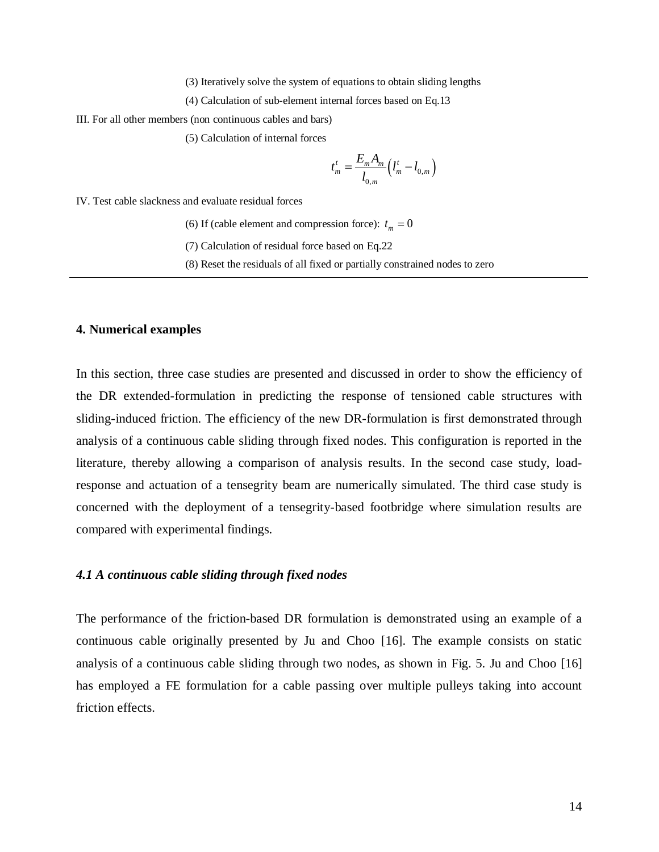(3) Iteratively solve the system of equations to obtain sliding lengths

(4) Calculation of sub-element internal forces based on Eq.13

III. For all other members (non continuous cables and bars)

(5) Calculation of internal forces

$$
t_m^t = \frac{E_m A_m}{l_{0,m}} \Big( l_m^t - l_{0,m} \Big)
$$

IV. Test cable slackness and evaluate residual forces

(6) If (cable element and compression force):  $t_m = 0$ 

(7) Calculation of residual force based on Eq.22

(8) Reset the residuals of all fixed or partially constrained nodes to zero

#### **4. Numerical examples**

In this section, three case studies are presented and discussed in order to show the efficiency of the DR extended-formulation in predicting the response of tensioned cable structures with sliding-induced friction. The efficiency of the new DR-formulation is first demonstrated through analysis of a continuous cable sliding through fixed nodes. This configuration is reported in the literature, thereby allowing a comparison of analysis results. In the second case study, loadresponse and actuation of a tensegrity beam are numerically simulated. The third case study is concerned with the deployment of a tensegrity-based footbridge where simulation results are compared with experimental findings.

# *4.1 A continuous cable sliding through fixed nodes*

The performance of the friction-based DR formulation is demonstrated using an example of a continuous cable originally presented by Ju and Choo [\[16\]](#page-30-9). The example consists on static analysis of a continuous cable sliding through two nodes, as shown in Fig. 5. Ju and Choo [\[16\]](#page-30-9) has employed a FE formulation for a cable passing over multiple pulleys taking into account friction effects.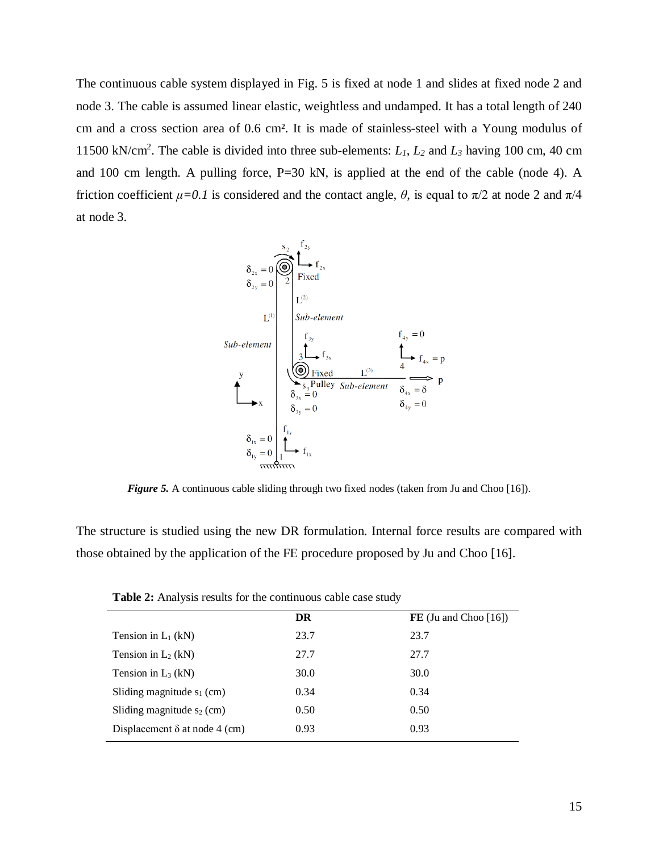The continuous cable system displayed in Fig. 5 is fixed at node 1 and slides at fixed node 2 and node 3. The cable is assumed linear elastic, weightless and undamped. It has a total length of 240 cm and a cross section area of 0.6 cm². It is made of stainless-steel with a Young modulus of 11500 kN/cm2 . The cable is divided into three sub-elements: *L1*, *L2* and *L3* having 100 cm, 40 cm and 100 cm length. A pulling force, P=30 kN, is applied at the end of the cable (node 4). A friction coefficient  $\mu$ =0.1 is considered and the contact angle,  $\theta$ , is equal to  $\pi/2$  at node 2 and  $\pi/4$ at node 3.



*Figure 5.* A continuous cable sliding through two fixed nodes (taken from Ju and Choo [\[16\]](#page-30-9)).

The structure is studied using the new DR formulation. Internal force results are compared with those obtained by the application of the FE procedure proposed by Ju and Choo [\[16\]](#page-30-9).

|                                      | DR   | $FE$ (Ju and Choo [16]) |  |  |  |
|--------------------------------------|------|-------------------------|--|--|--|
| Tension in $L_1$ (kN)                | 23.7 | 23.7                    |  |  |  |
| Tension in $L_2$ (kN)                | 27.7 | 27.7                    |  |  |  |
| Tension in $L_3$ (kN)                | 30.0 | 30.0                    |  |  |  |
| Sliding magnitude $s_1$ (cm)         | 0.34 | 0.34                    |  |  |  |
| Sliding magnitude $s_2$ (cm)         | 0.50 | 0.50                    |  |  |  |
| Displacement $\delta$ at node 4 (cm) | 0.93 | 0.93                    |  |  |  |

**Table 2:** Analysis results for the continuous cable case study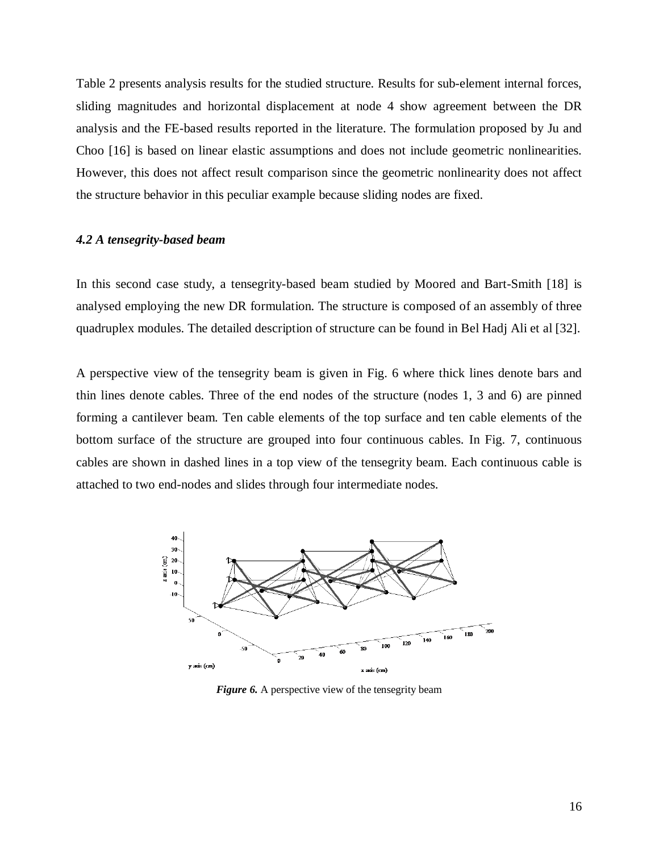Table 2 presents analysis results for the studied structure. Results for sub-element internal forces, sliding magnitudes and horizontal displacement at node 4 show agreement between the DR analysis and the FE-based results reported in the literature. The formulation proposed by Ju and Choo [\[16\]](#page-30-9) is based on linear elastic assumptions and does not include geometric nonlinearities. However, this does not affect result comparison since the geometric nonlinearity does not affect the structure behavior in this peculiar example because sliding nodes are fixed.

# *4.2 A tensegrity-based beam*

In this second case study, a tensegrity-based beam studied by Moored and Bart-Smith [\[18\]](#page-30-11) is analysed employing the new DR formulation. The structure is composed of an assembly of three quadruplex modules. The detailed description of structure can be found in Bel Hadj Ali et al [\[32\]](#page-31-7).

A perspective view of the tensegrity beam is given in Fig. 6 where thick lines denote bars and thin lines denote cables. Three of the end nodes of the structure (nodes 1, 3 and 6) are pinned forming a cantilever beam. Ten cable elements of the top surface and ten cable elements of the bottom surface of the structure are grouped into four continuous cables. In Fig. 7, continuous cables are shown in dashed lines in a top view of the tensegrity beam. Each continuous cable is attached to two end-nodes and slides through four intermediate nodes.



*Figure 6.* A perspective view of the tensegrity beam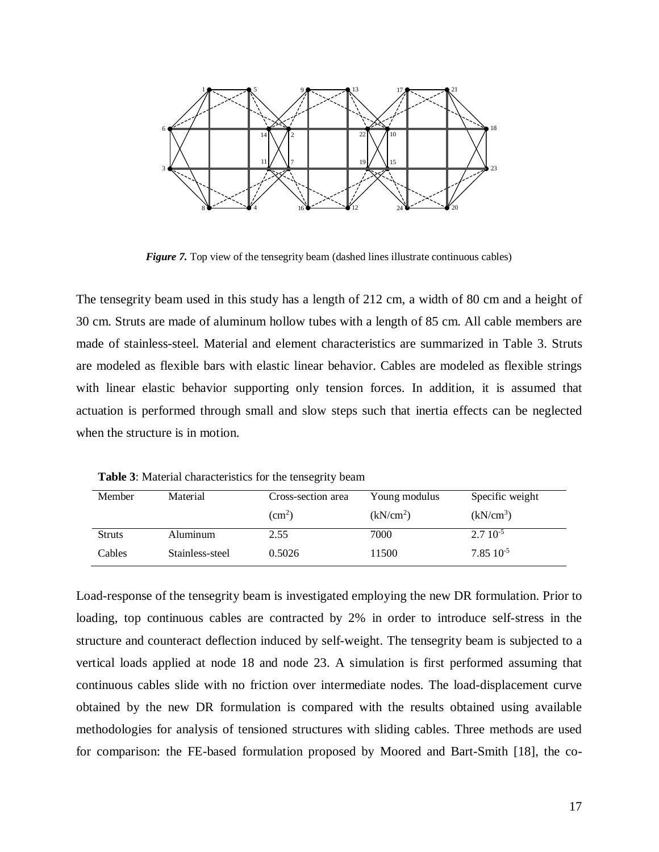

*Figure 7.* Top view of the tensegrity beam (dashed lines illustrate continuous cables)

The tensegrity beam used in this study has a length of 212 cm, a width of 80 cm and a height of 30 cm. Struts are made of aluminum hollow tubes with a length of 85 cm. All cable members are made of stainless-steel. Material and element characteristics are summarized in Table 3. Struts are modeled as flexible bars with elastic linear behavior. Cables are modeled as flexible strings with linear elastic behavior supporting only tension forces. In addition, it is assumed that actuation is performed through small and slow steps such that inertia effects can be neglected when the structure is in motion.

| Member        | Material        | Cross-section area | Young modulus         | Specific weight       |
|---------------|-----------------|--------------------|-----------------------|-----------------------|
|               |                 | $\rm (cm^2)$       | (kN/cm <sup>2</sup> ) | (kN/cm <sup>3</sup> ) |
| <b>Struts</b> | Aluminum        | 2.55               | 7000                  | $2.710^{-5}$          |
| Cables        | Stainless-steel | 0.5026             | 11500                 | $7.85 \; 10^{-5}$     |

**Table 3**: Material characteristics for the tensegrity beam

Load-response of the tensegrity beam is investigated employing the new DR formulation. Prior to loading, top continuous cables are contracted by 2% in order to introduce self-stress in the structure and counteract deflection induced by self-weight. The tensegrity beam is subjected to a vertical loads applied at node 18 and node 23. A simulation is first performed assuming that continuous cables slide with no friction over intermediate nodes. The load-displacement curve obtained by the new DR formulation is compared with the results obtained using available methodologies for analysis of tensioned structures with sliding cables. Three methods are used for comparison: the FE-based formulation proposed by Moored and Bart-Smith [\[18\]](#page-30-11), the co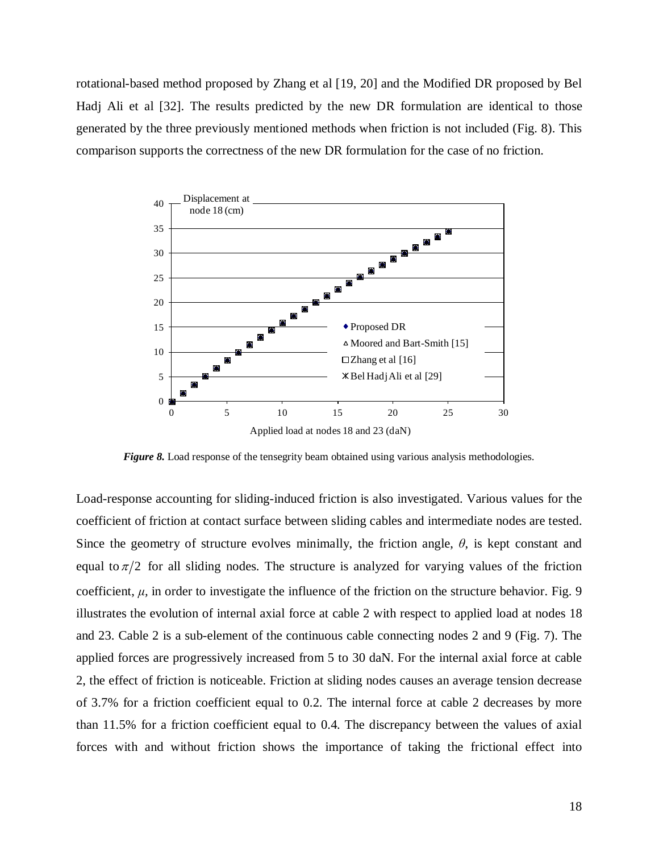rotational-based method proposed by Zhang et al [\[19,](#page-31-0) [20\]](#page-31-1) and the Modified DR proposed by Bel Hadj Ali et al [\[32\]](#page-31-7). The results predicted by the new DR formulation are identical to those generated by the three previously mentioned methods when friction is not included (Fig. 8). This comparison supports the correctness of the new DR formulation for the case of no friction.



*Figure 8.* Load response of the tensegrity beam obtained using various analysis methodologies.

Load-response accounting for sliding-induced friction is also investigated. Various values for the coefficient of friction at contact surface between sliding cables and intermediate nodes are tested. Since the geometry of structure evolves minimally, the friction angle,  $\theta$ , is kept constant and equal to  $\pi/2$  for all sliding nodes. The structure is analyzed for varying values of the friction coefficient,  $\mu$ , in order to investigate the influence of the friction on the structure behavior. Fig. 9 illustrates the evolution of internal axial force at cable 2 with respect to applied load at nodes 18 and 23. Cable 2 is a sub-element of the continuous cable connecting nodes 2 and 9 (Fig. 7). The applied forces are progressively increased from 5 to 30 daN. For the internal axial force at cable 2, the effect of friction is noticeable. Friction at sliding nodes causes an average tension decrease of 3.7% for a friction coefficient equal to 0.2. The internal force at cable 2 decreases by more than 11.5% for a friction coefficient equal to 0.4. The discrepancy between the values of axial forces with and without friction shows the importance of taking the frictional effect into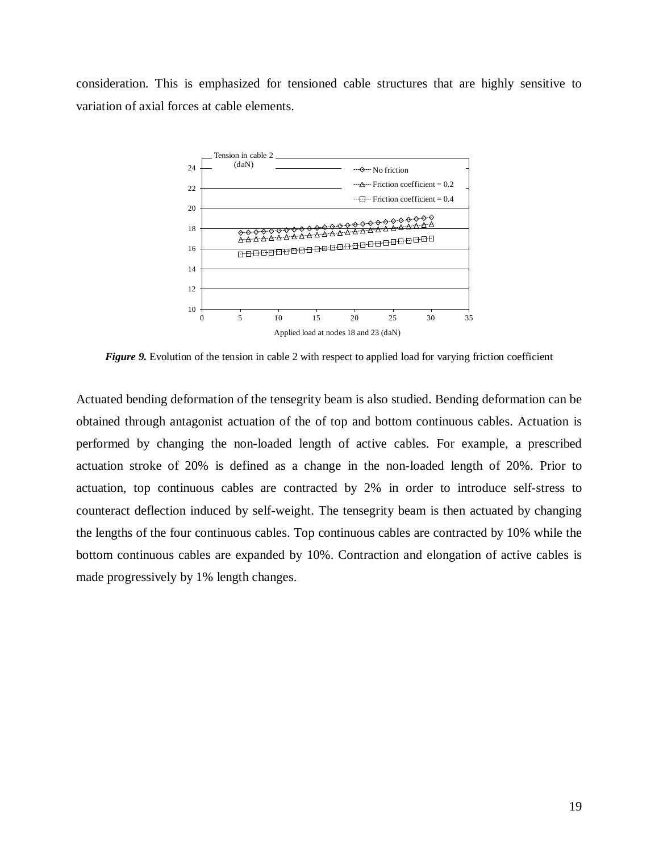consideration. This is emphasized for tensioned cable structures that are highly sensitive to variation of axial forces at cable elements.



*Figure 9.* Evolution of the tension in cable 2 with respect to applied load for varying friction coefficient

Actuated bending deformation of the tensegrity beam is also studied. Bending deformation can be obtained through antagonist actuation of the of top and bottom continuous cables. Actuation is performed by changing the non-loaded length of active cables. For example, a prescribed actuation stroke of 20% is defined as a change in the non-loaded length of 20%. Prior to actuation, top continuous cables are contracted by 2% in order to introduce self-stress to counteract deflection induced by self-weight. The tensegrity beam is then actuated by changing the lengths of the four continuous cables. Top continuous cables are contracted by 10% while the bottom continuous cables are expanded by 10%. Contraction and elongation of active cables is made progressively by 1% length changes.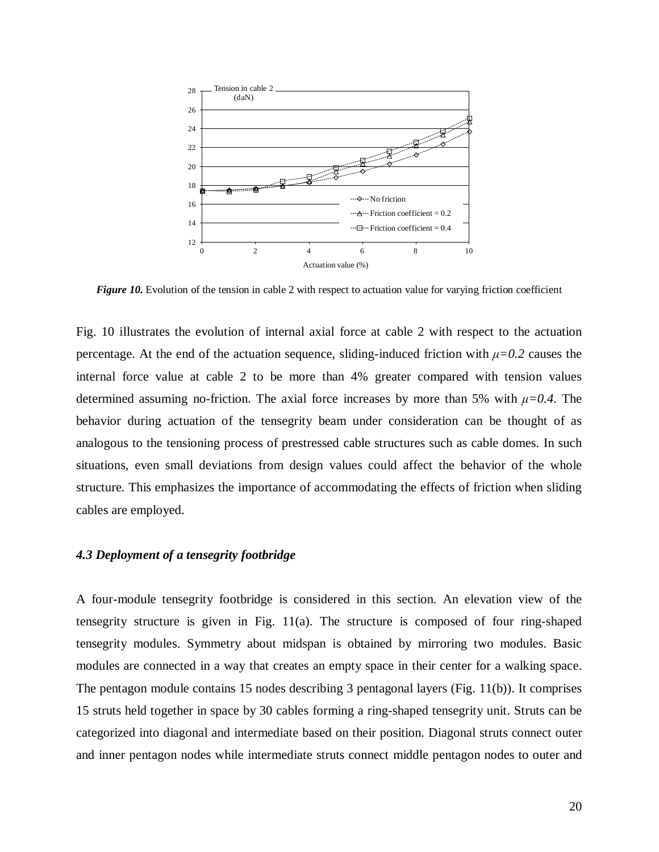

*Figure 10.* Evolution of the tension in cable 2 with respect to actuation value for varying friction coefficient

Fig. 10 illustrates the evolution of internal axial force at cable 2 with respect to the actuation percentage. At the end of the actuation sequence, sliding-induced friction with  $\mu$ =0.2 causes the internal force value at cable 2 to be more than 4% greater compared with tension values determined assuming no-friction. The axial force increases by more than 5% with *μ=0.4.* The behavior during actuation of the tensegrity beam under consideration can be thought of as analogous to the tensioning process of prestressed cable structures such as cable domes. In such situations, even small deviations from design values could affect the behavior of the whole structure. This emphasizes the importance of accommodating the effects of friction when sliding cables are employed.

# *4.3 Deployment of a tensegrity footbridge*

A four-module tensegrity footbridge is considered in this section. An elevation view of the tensegrity structure is given in Fig. 11(a). The structure is composed of four ring-shaped tensegrity modules. Symmetry about midspan is obtained by mirroring two modules. Basic modules are connected in a way that creates an empty space in their center for a walking space. The pentagon module contains 15 nodes describing 3 pentagonal layers (Fig. 11(b)). It comprises 15 struts held together in space by 30 cables forming a ring-shaped tensegrity unit. Struts can be categorized into diagonal and intermediate based on their position. Diagonal struts connect outer and inner pentagon nodes while intermediate struts connect middle pentagon nodes to outer and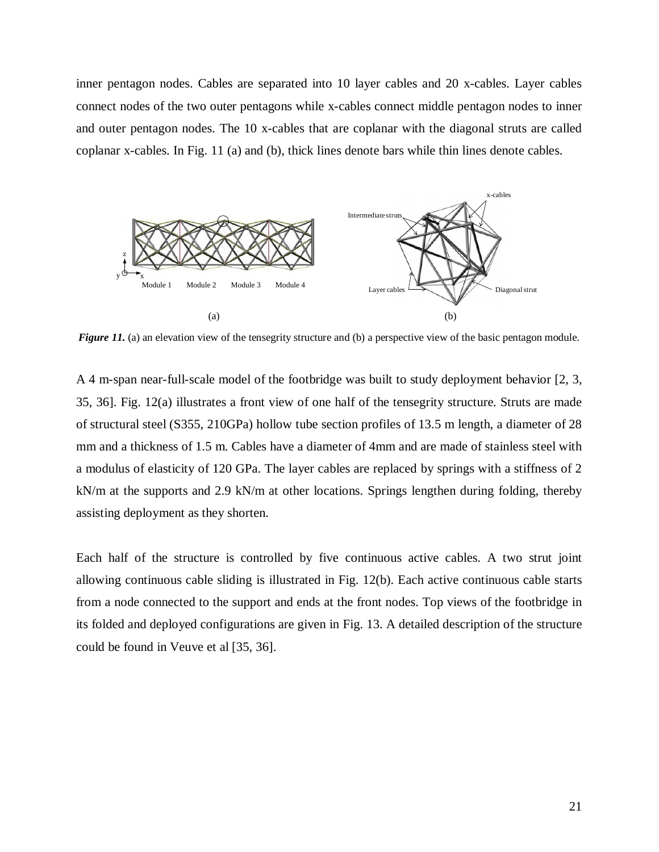inner pentagon nodes. Cables are separated into 10 layer cables and 20 x-cables. Layer cables connect nodes of the two outer pentagons while x-cables connect middle pentagon nodes to inner and outer pentagon nodes. The 10 x-cables that are coplanar with the diagonal struts are called coplanar x-cables. In Fig. 11 (a) and (b), thick lines denote bars while thin lines denote cables.



*Figure 11.* (a) an elevation view of the tensegrity structure and (b) a perspective view of the basic pentagon module.

A 4 m-span near-full-scale model of the footbridge was built to study deployment behavior [\[2,](#page-30-1) [3,](#page-30-15) [35,](#page-31-10) [36\]](#page-31-11). Fig. 12(a) illustrates a front view of one half of the tensegrity structure. Struts are made of structural steel (S355, 210GPa) hollow tube section profiles of 13.5 m length, a diameter of 28 mm and a thickness of 1.5 m. Cables have a diameter of 4mm and are made of stainless steel with a modulus of elasticity of 120 GPa. The layer cables are replaced by springs with a stiffness of 2 kN/m at the supports and 2.9 kN/m at other locations. Springs lengthen during folding, thereby assisting deployment as they shorten.

Each half of the structure is controlled by five continuous active cables. A two strut joint allowing continuous cable sliding is illustrated in Fig. 12(b). Each active continuous cable starts from a node connected to the support and ends at the front nodes. Top views of the footbridge in its folded and deployed configurations are given in Fig. 13. A detailed description of the structure could be found in Veuve et al [\[35,](#page-31-10) [36\]](#page-31-11).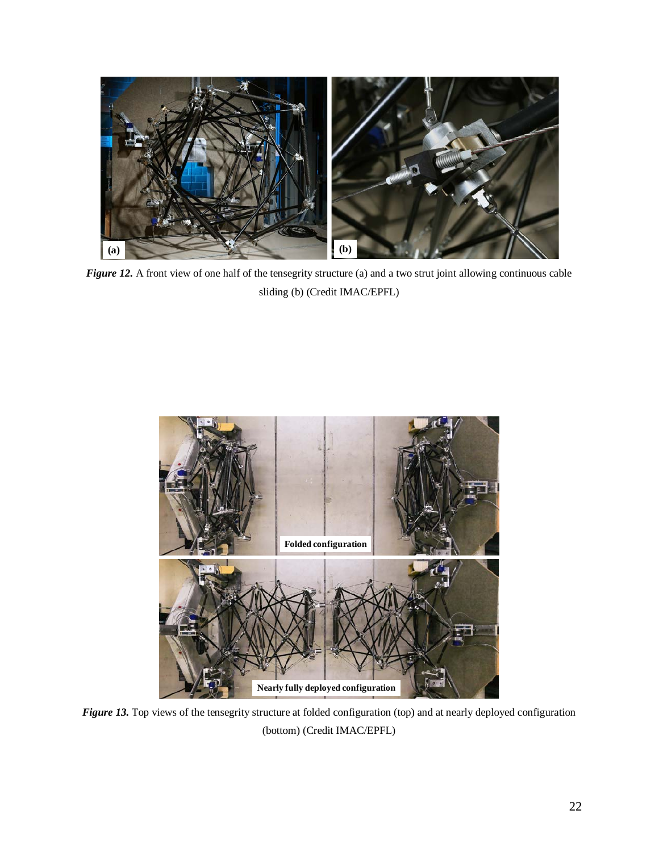

*Figure 12.* A front view of one half of the tensegrity structure (a) and a two strut joint allowing continuous cable sliding (b) (Credit IMAC/EPFL)



*Figure 13.* Top views of the tensegrity structure at folded configuration (top) and at nearly deployed configuration (bottom) (Credit IMAC/EPFL)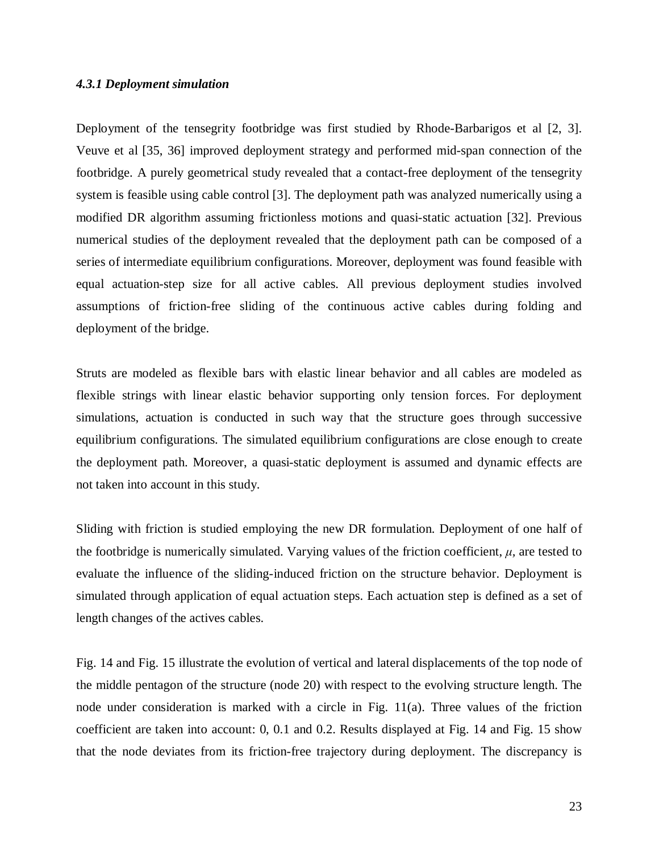# *4.3.1 Deployment simulation*

Deployment of the tensegrity footbridge was first studied by Rhode-Barbarigos et al [\[2,](#page-30-1) [3\]](#page-30-15). Veuve et al [\[35,](#page-31-10) [36\]](#page-31-11) improved deployment strategy and performed mid-span connection of the footbridge. A purely geometrical study revealed that a contact-free deployment of the tensegrity system is feasible using cable control [\[3\]](#page-30-15). The deployment path was analyzed numerically using a modified DR algorithm assuming frictionless motions and quasi-static actuation [\[32\]](#page-31-7). Previous numerical studies of the deployment revealed that the deployment path can be composed of a series of intermediate equilibrium configurations. Moreover, deployment was found feasible with equal actuation-step size for all active cables. All previous deployment studies involved assumptions of friction-free sliding of the continuous active cables during folding and deployment of the bridge.

Struts are modeled as flexible bars with elastic linear behavior and all cables are modeled as flexible strings with linear elastic behavior supporting only tension forces. For deployment simulations, actuation is conducted in such way that the structure goes through successive equilibrium configurations. The simulated equilibrium configurations are close enough to create the deployment path. Moreover, a quasi-static deployment is assumed and dynamic effects are not taken into account in this study.

Sliding with friction is studied employing the new DR formulation. Deployment of one half of the footbridge is numerically simulated. Varying values of the friction coefficient,  $\mu$ , are tested to evaluate the influence of the sliding-induced friction on the structure behavior. Deployment is simulated through application of equal actuation steps. Each actuation step is defined as a set of length changes of the actives cables.

Fig. 14 and Fig. 15 illustrate the evolution of vertical and lateral displacements of the top node of the middle pentagon of the structure (node 20) with respect to the evolving structure length. The node under consideration is marked with a circle in Fig. 11(a). Three values of the friction coefficient are taken into account: 0, 0.1 and 0.2. Results displayed at Fig. 14 and Fig. 15 show that the node deviates from its friction-free trajectory during deployment. The discrepancy is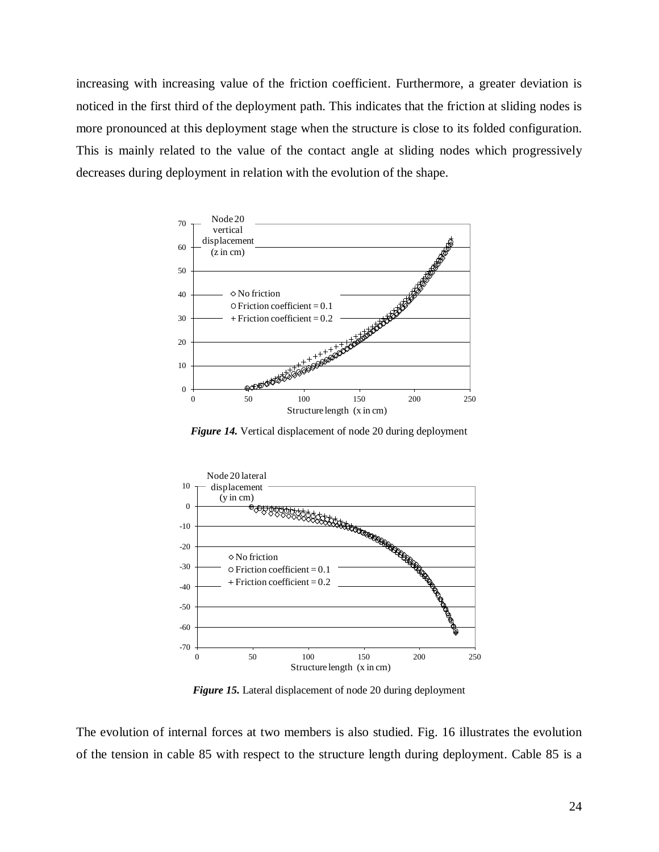increasing with increasing value of the friction coefficient. Furthermore, a greater deviation is noticed in the first third of the deployment path. This indicates that the friction at sliding nodes is more pronounced at this deployment stage when the structure is close to its folded configuration. This is mainly related to the value of the contact angle at sliding nodes which progressively decreases during deployment in relation with the evolution of the shape.



*Figure 14.* Vertical displacement of node 20 during deployment



*Figure 15.* Lateral displacement of node 20 during deployment

The evolution of internal forces at two members is also studied. Fig. 16 illustrates the evolution of the tension in cable 85 with respect to the structure length during deployment. Cable 85 is a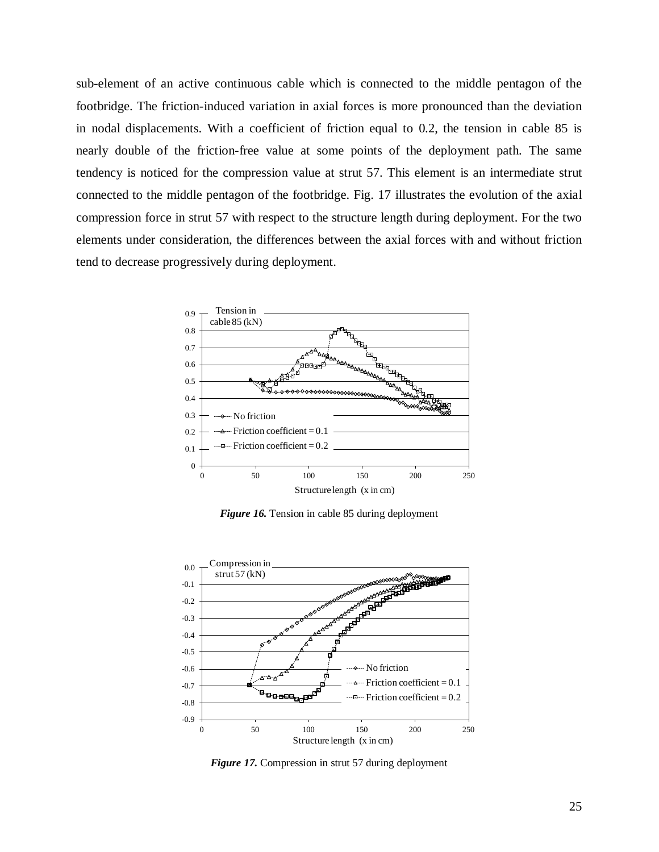sub-element of an active continuous cable which is connected to the middle pentagon of the footbridge. The friction-induced variation in axial forces is more pronounced than the deviation in nodal displacements. With a coefficient of friction equal to 0.2, the tension in cable 85 is nearly double of the friction-free value at some points of the deployment path. The same tendency is noticed for the compression value at strut 57. This element is an intermediate strut connected to the middle pentagon of the footbridge. Fig. 17 illustrates the evolution of the axial compression force in strut 57 with respect to the structure length during deployment. For the two elements under consideration, the differences between the axial forces with and without friction tend to decrease progressively during deployment.



*Figure 16.* Tension in cable 85 during deployment



*Figure 17.* Compression in strut 57 during deployment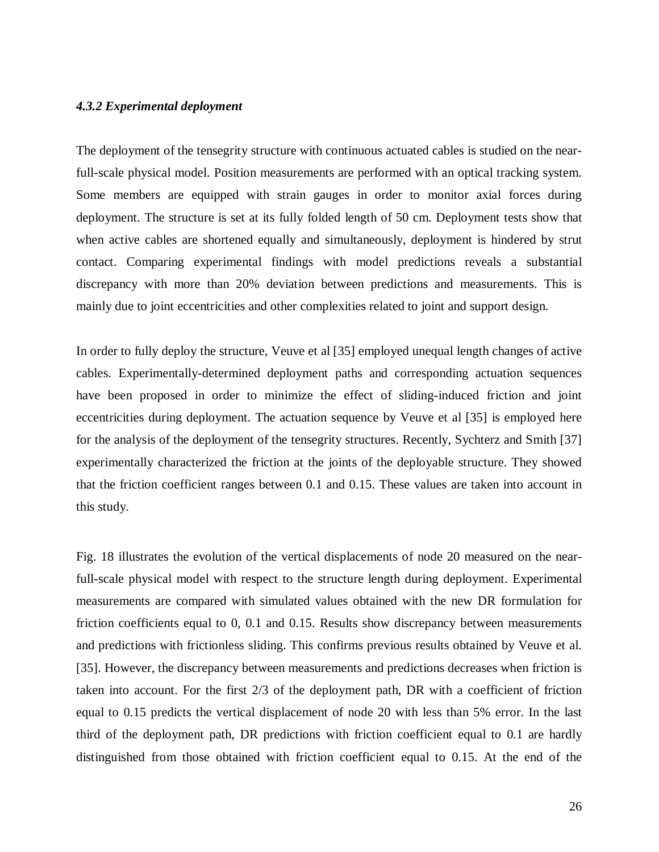# *4.3.2 Experimental deployment*

The deployment of the tensegrity structure with continuous actuated cables is studied on the nearfull-scale physical model. Position measurements are performed with an optical tracking system. Some members are equipped with strain gauges in order to monitor axial forces during deployment. The structure is set at its fully folded length of 50 cm. Deployment tests show that when active cables are shortened equally and simultaneously, deployment is hindered by strut contact. Comparing experimental findings with model predictions reveals a substantial discrepancy with more than 20% deviation between predictions and measurements. This is mainly due to joint eccentricities and other complexities related to joint and support design.

In order to fully deploy the structure, Veuve et al [\[35\]](#page-31-10) employed unequal length changes of active cables. Experimentally-determined deployment paths and corresponding actuation sequences have been proposed in order to minimize the effect of sliding-induced friction and joint eccentricities during deployment. The actuation sequence by Veuve et al [\[35\]](#page-31-10) is employed here for the analysis of the deployment of the tensegrity structures. Recently, Sychterz and Smith [\[37\]](#page-31-12) experimentally characterized the friction at the joints of the deployable structure. They showed that the friction coefficient ranges between 0.1 and 0.15. These values are taken into account in this study.

Fig. 18 illustrates the evolution of the vertical displacements of node 20 measured on the nearfull-scale physical model with respect to the structure length during deployment. Experimental measurements are compared with simulated values obtained with the new DR formulation for friction coefficients equal to 0, 0.1 and 0.15. Results show discrepancy between measurements and predictions with frictionless sliding. This confirms previous results obtained by Veuve et al. [\[35\]](#page-31-10). However, the discrepancy between measurements and predictions decreases when friction is taken into account. For the first 2/3 of the deployment path, DR with a coefficient of friction equal to 0.15 predicts the vertical displacement of node 20 with less than 5% error. In the last third of the deployment path, DR predictions with friction coefficient equal to 0.1 are hardly distinguished from those obtained with friction coefficient equal to 0.15. At the end of the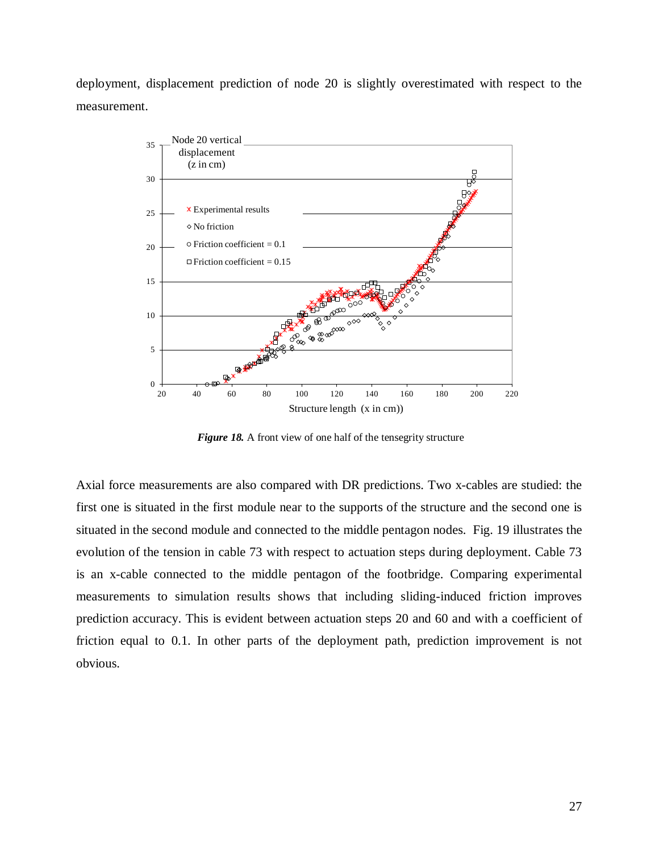deployment, displacement prediction of node 20 is slightly overestimated with respect to the measurement.



*Figure 18.* A front view of one half of the tensegrity structure

Axial force measurements are also compared with DR predictions. Two x-cables are studied: the first one is situated in the first module near to the supports of the structure and the second one is situated in the second module and connected to the middle pentagon nodes. Fig. 19 illustrates the evolution of the tension in cable 73 with respect to actuation steps during deployment. Cable 73 is an x-cable connected to the middle pentagon of the footbridge. Comparing experimental measurements to simulation results shows that including sliding-induced friction improves prediction accuracy. This is evident between actuation steps 20 and 60 and with a coefficient of friction equal to 0.1. In other parts of the deployment path, prediction improvement is not obvious.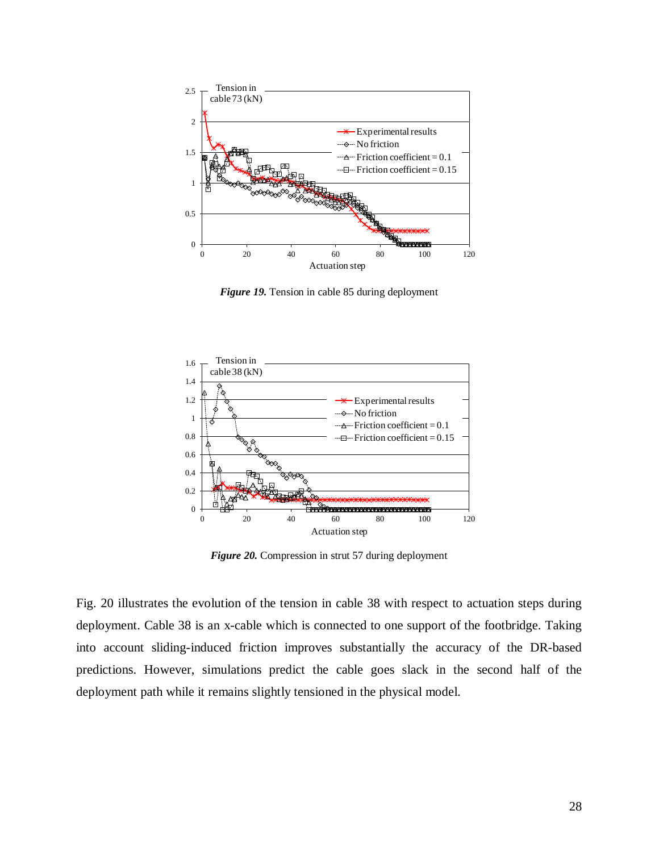

*Figure 19.* Tension in cable 85 during deployment



*Figure 20.* Compression in strut 57 during deployment

Fig. 20 illustrates the evolution of the tension in cable 38 with respect to actuation steps during deployment. Cable 38 is an x-cable which is connected to one support of the footbridge. Taking into account sliding-induced friction improves substantially the accuracy of the DR-based predictions. However, simulations predict the cable goes slack in the second half of the deployment path while it remains slightly tensioned in the physical model.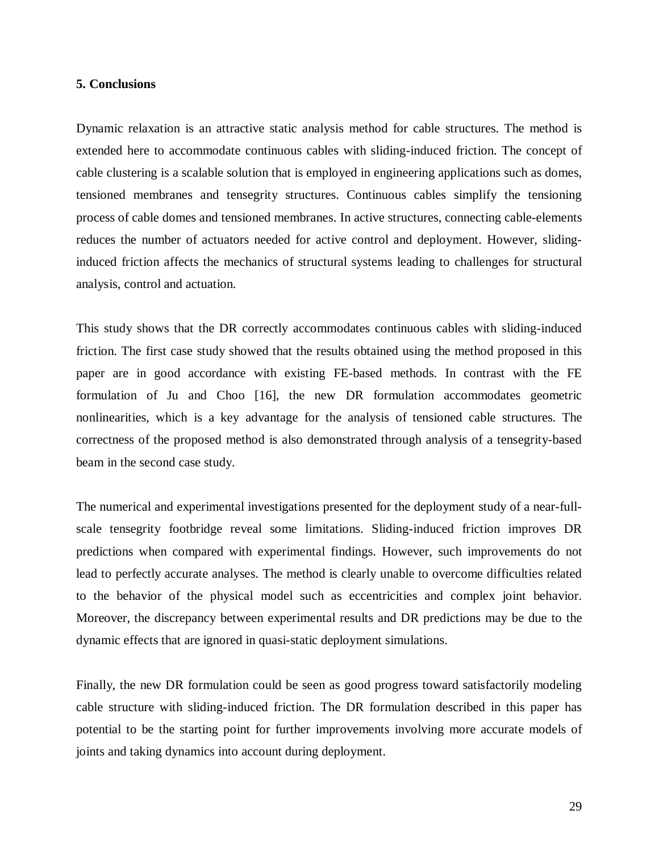### **5. Conclusions**

Dynamic relaxation is an attractive static analysis method for cable structures. The method is extended here to accommodate continuous cables with sliding-induced friction. The concept of cable clustering is a scalable solution that is employed in engineering applications such as domes, tensioned membranes and tensegrity structures. Continuous cables simplify the tensioning process of cable domes and tensioned membranes. In active structures, connecting cable-elements reduces the number of actuators needed for active control and deployment. However, slidinginduced friction affects the mechanics of structural systems leading to challenges for structural analysis, control and actuation.

This study shows that the DR correctly accommodates continuous cables with sliding-induced friction. The first case study showed that the results obtained using the method proposed in this paper are in good accordance with existing FE-based methods. In contrast with the FE formulation of Ju and Choo [\[16\]](#page-30-9), the new DR formulation accommodates geometric nonlinearities, which is a key advantage for the analysis of tensioned cable structures. The correctness of the proposed method is also demonstrated through analysis of a tensegrity-based beam in the second case study.

The numerical and experimental investigations presented for the deployment study of a near-fullscale tensegrity footbridge reveal some limitations. Sliding-induced friction improves DR predictions when compared with experimental findings. However, such improvements do not lead to perfectly accurate analyses. The method is clearly unable to overcome difficulties related to the behavior of the physical model such as eccentricities and complex joint behavior. Moreover, the discrepancy between experimental results and DR predictions may be due to the dynamic effects that are ignored in quasi-static deployment simulations.

Finally, the new DR formulation could be seen as good progress toward satisfactorily modeling cable structure with sliding-induced friction. The DR formulation described in this paper has potential to be the starting point for further improvements involving more accurate models of joints and taking dynamics into account during deployment.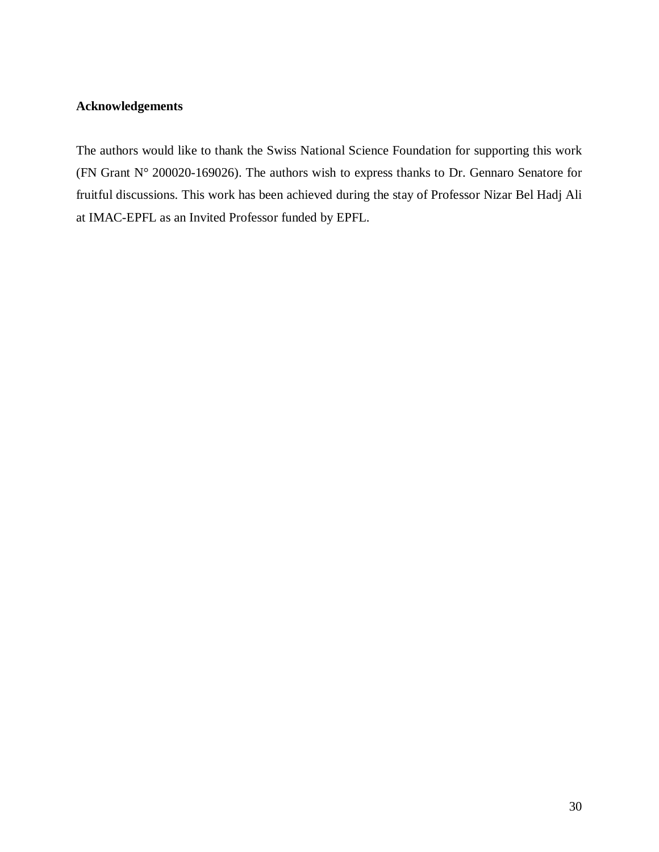# **Acknowledgements**

The authors would like to thank the Swiss National Science Foundation for supporting this work (FN Grant N° 200020-169026). The authors wish to express thanks to Dr. Gennaro Senatore for fruitful discussions. This work has been achieved during the stay of Professor Nizar Bel Hadj Ali at IMAC-EPFL as an Invited Professor funded by EPFL.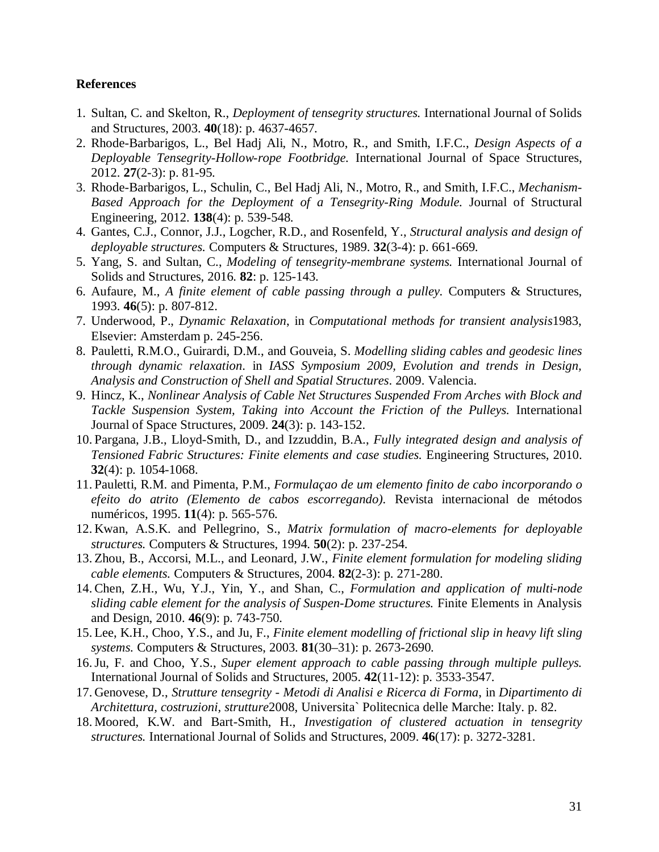# **References**

- <span id="page-30-0"></span>1. Sultan, C. and Skelton, R., *Deployment of tensegrity structures.* International Journal of Solids and Structures, 2003. **40**(18): p. 4637-4657.
- <span id="page-30-1"></span>2. Rhode-Barbarigos, L., Bel Hadj Ali, N., Motro, R., and Smith, I.F.C., *Design Aspects of a Deployable Tensegrity-Hollow-rope Footbridge.* International Journal of Space Structures, 2012. **27**(2-3): p. 81-95.
- <span id="page-30-15"></span>3. Rhode-Barbarigos, L., Schulin, C., Bel Hadj Ali, N., Motro, R., and Smith, I.F.C., *Mechanism-Based Approach for the Deployment of a Tensegrity-Ring Module.* Journal of Structural Engineering, 2012. **138**(4): p. 539-548.
- 4. Gantes, C.J., Connor, J.J., Logcher, R.D., and Rosenfeld, Y., *Structural analysis and design of deployable structures.* Computers & Structures, 1989. **32**(3-4): p. 661-669.
- 5. Yang, S. and Sultan, C., *Modeling of tensegrity-membrane systems.* International Journal of Solids and Structures, 2016. **82**: p. 125-143.
- <span id="page-30-2"></span>6. Aufaure, M., *A finite element of cable passing through a pulley.* Computers & Structures, 1993. **46**(5): p. 807-812.
- <span id="page-30-12"></span>7. Underwood, P., *Dynamic Relaxation*, in *Computational methods for transient analysis*1983, Elsevier: Amsterdam p. 245-256.
- <span id="page-30-14"></span>8. Pauletti, R.M.O., Guirardi, D.M., and Gouveia, S. *Modelling sliding cables and geodesic lines through dynamic relaxation*. in *IASS Symposium 2009, Evolution and trends in Design, Analysis and Construction of Shell and Spatial Structures*. 2009. Valencia.
- <span id="page-30-13"></span>9. Hincz, K., *Nonlinear Analysis of Cable Net Structures Suspended From Arches with Block and Tackle Suspension System, Taking into Account the Friction of the Pulleys.* International Journal of Space Structures, 2009. **24**(3): p. 143-152.
- <span id="page-30-3"></span>10. Pargana, J.B., Lloyd-Smith, D., and Izzuddin, B.A., *Fully integrated design and analysis of Tensioned Fabric Structures: Finite elements and case studies.* Engineering Structures, 2010. **32**(4): p. 1054-1068.
- <span id="page-30-4"></span>11. Pauletti, R.M. and Pimenta, P.M., *Formulaçao de um elemento finito de cabo incorporando o efeito do atrito (Elemento de cabos escorregando).* Revista internacional de métodos numéricos, 1995. **11**(4): p. 565-576.
- <span id="page-30-5"></span>12. Kwan, A.S.K. and Pellegrino, S., *Matrix formulation of macro-elements for deployable structures.* Computers & Structures, 1994. **50**(2): p. 237-254.
- <span id="page-30-6"></span>13. Zhou, B., Accorsi, M.L., and Leonard, J.W., *Finite element formulation for modeling sliding cable elements.* Computers & Structures, 2004. **82**(2-3): p. 271-280.
- <span id="page-30-7"></span>14. Chen, Z.H., Wu, Y.J., Yin, Y., and Shan, C., *Formulation and application of multi-node sliding cable element for the analysis of Suspen-Dome structures.* Finite Elements in Analysis and Design, 2010. **46**(9): p. 743-750.
- <span id="page-30-8"></span>15. Lee, K.H., Choo, Y.S., and Ju, F., *Finite element modelling of frictional slip in heavy lift sling systems.* Computers & Structures, 2003. **81**(30–31): p. 2673-2690.
- <span id="page-30-9"></span>16.Ju, F. and Choo, Y.S., *Super element approach to cable passing through multiple pulleys.* International Journal of Solids and Structures, 2005. **42**(11-12): p. 3533-3547.
- <span id="page-30-10"></span>17. Genovese, D., *Strutture tensegrity - Metodi di Analisi e Ricerca di Forma*, in *Dipartimento di Architettura, costruzioni, strutture*2008, Universita` Politecnica delle Marche: Italy. p. 82.
- <span id="page-30-11"></span>18. Moored, K.W. and Bart-Smith, H., *Investigation of clustered actuation in tensegrity structures.* International Journal of Solids and Structures, 2009. **46**(17): p. 3272-3281.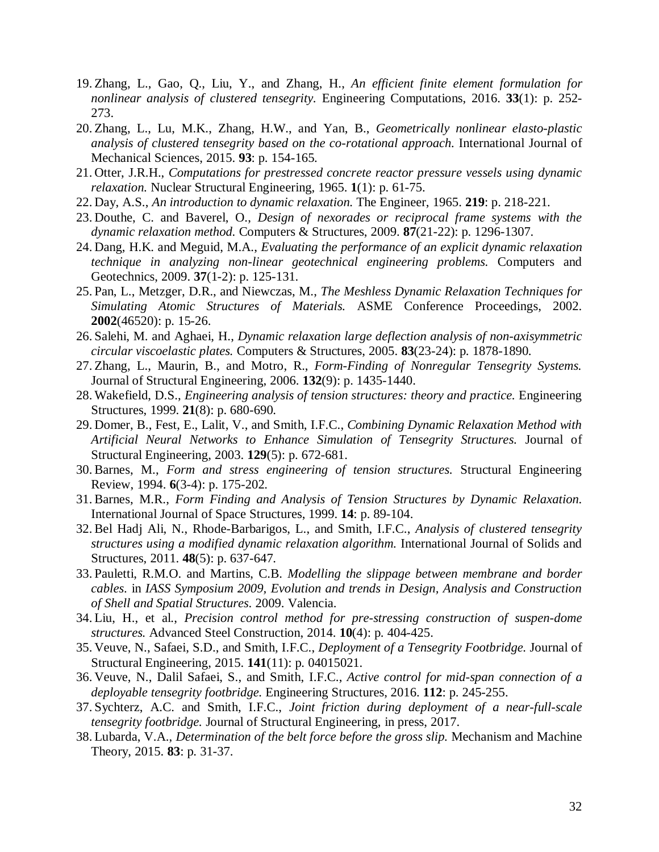- <span id="page-31-0"></span>19. Zhang, L., Gao, Q., Liu, Y., and Zhang, H., *An efficient finite element formulation for nonlinear analysis of clustered tensegrity.* Engineering Computations, 2016. **33**(1): p. 252- 273.
- <span id="page-31-1"></span>20. Zhang, L., Lu, M.K., Zhang, H.W., and Yan, B., *Geometrically nonlinear elasto-plastic analysis of clustered tensegrity based on the co-rotational approach.* International Journal of Mechanical Sciences, 2015. **93**: p. 154-165.
- <span id="page-31-2"></span>21. Otter, J.R.H., *Computations for prestressed concrete reactor pressure vessels using dynamic relaxation.* Nuclear Structural Engineering, 1965. **1**(1): p. 61-75.
- <span id="page-31-3"></span>22. Day, A.S., *An introduction to dynamic relaxation.* The Engineer, 1965. **219**: p. 218-221.
- <span id="page-31-4"></span>23. Douthe, C. and Baverel, O., *Design of nexorades or reciprocal frame systems with the dynamic relaxation method.* Computers & Structures, 2009. **87**(21-22): p. 1296-1307.
- 24. Dang, H.K. and Meguid, M.A., *Evaluating the performance of an explicit dynamic relaxation technique in analyzing non-linear geotechnical engineering problems.* Computers and Geotechnics, 2009. **37**(1-2): p. 125-131.
- 25. Pan, L., Metzger, D.R., and Niewczas, M., *The Meshless Dynamic Relaxation Techniques for Simulating Atomic Structures of Materials.* ASME Conference Proceedings, 2002. **2002**(46520): p. 15-26.
- 26. Salehi, M. and Aghaei, H., *Dynamic relaxation large deflection analysis of non-axisymmetric circular viscoelastic plates.* Computers & Structures, 2005. **83**(23-24): p. 1878-1890.
- 27. Zhang, L., Maurin, B., and Motro, R., *Form-Finding of Nonregular Tensegrity Systems.* Journal of Structural Engineering, 2006. **132**(9): p. 1435-1440.
- <span id="page-31-14"></span>28. Wakefield, D.S., *Engineering analysis of tension structures: theory and practice.* Engineering Structures, 1999. **21**(8): p. 680-690.
- 29. Domer, B., Fest, E., Lalit, V., and Smith, I.F.C., *Combining Dynamic Relaxation Method with Artificial Neural Networks to Enhance Simulation of Tensegrity Structures.* Journal of Structural Engineering, 2003. **129**(5): p. 672-681.
- <span id="page-31-5"></span>30. Barnes, M., *Form and stress engineering of tension structures.* Structural Engineering Review, 1994. **6**(3-4): p. 175-202.
- <span id="page-31-6"></span>31. Barnes, M.R., *Form Finding and Analysis of Tension Structures by Dynamic Relaxation.* International Journal of Space Structures, 1999. **14**: p. 89-104.
- <span id="page-31-7"></span>32. Bel Hadj Ali, N., Rhode-Barbarigos, L., and Smith, I.F.C., *Analysis of clustered tensegrity structures using a modified dynamic relaxation algorithm.* International Journal of Solids and Structures, 2011. **48**(5): p. 637-647.
- <span id="page-31-8"></span>33. Pauletti, R.M.O. and Martins, C.B. *Modelling the slippage between membrane and border cables*. in *IASS Symposium 2009, Evolution and trends in Design, Analysis and Construction of Shell and Spatial Structures*. 2009. Valencia.
- <span id="page-31-9"></span>34. Liu, H., et al., *Precision control method for pre-stressing construction of suspen-dome structures.* Advanced Steel Construction, 2014. **10**(4): p. 404-425.
- <span id="page-31-10"></span>35. Veuve, N., Safaei, S.D., and Smith, I.F.C., *Deployment of a Tensegrity Footbridge.* Journal of Structural Engineering, 2015. **141**(11): p. 04015021.
- <span id="page-31-11"></span>36. Veuve, N., Dalil Safaei, S., and Smith, I.F.C., *Active control for mid-span connection of a deployable tensegrity footbridge.* Engineering Structures, 2016. **112**: p. 245-255.
- <span id="page-31-12"></span>37. Sychterz, A.C. and Smith, I.F.C., *Joint friction during deployment of a near-full-scale tensegrity footbridge.* Journal of Structural Engineering, in press, 2017.
- <span id="page-31-13"></span>38. Lubarda, V.A., *Determination of the belt force before the gross slip.* Mechanism and Machine Theory, 2015. **83**: p. 31-37.